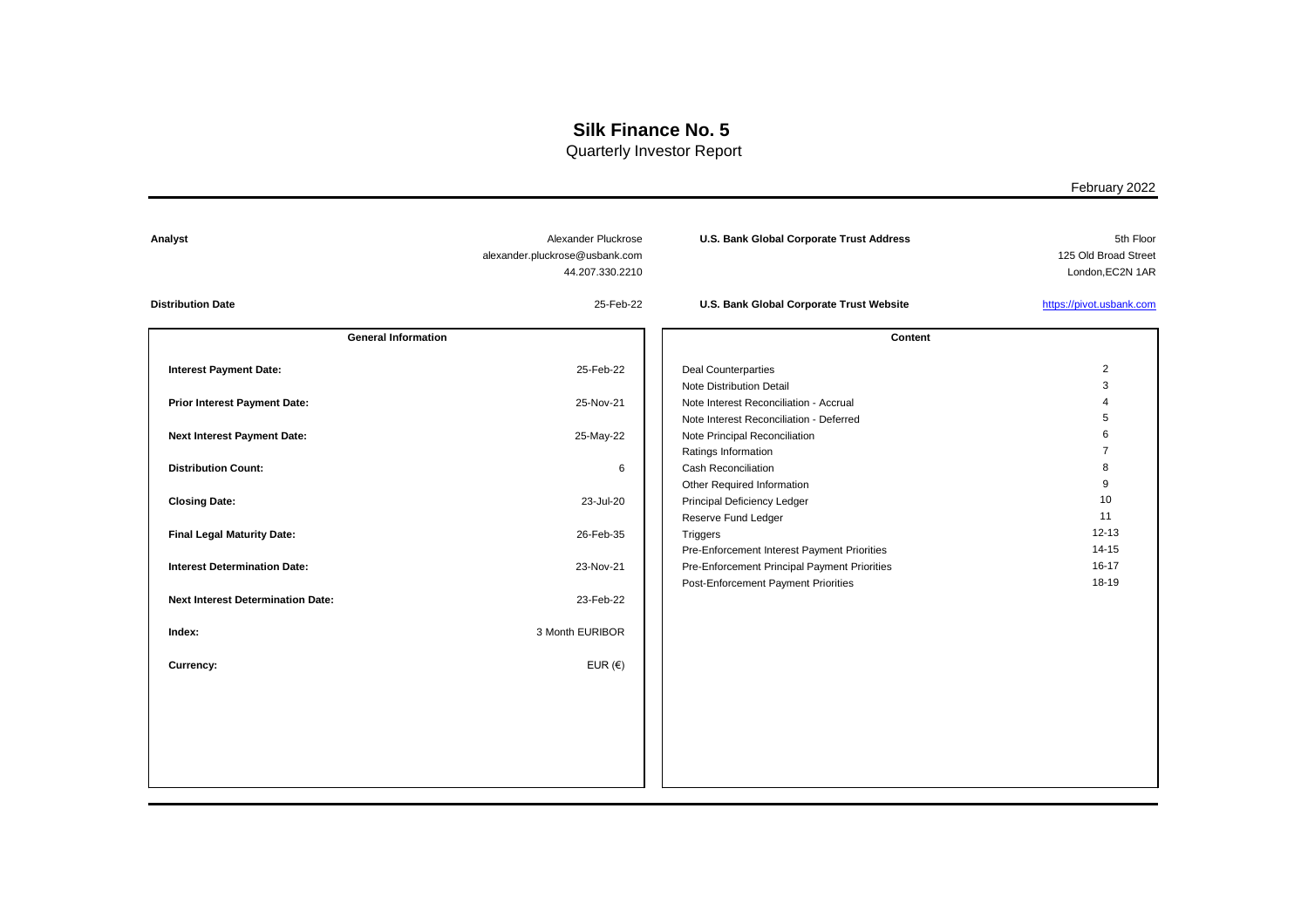Quarterly Investor Report

| Analyst                                  | Alexander Pluckrose<br>alexander.pluckrose@usbank.com<br>44.207.330.2210 | <b>U.S. Bank Global Corporate Trust Address</b>                                     | 5th Floor<br>125 Old Broad Street<br>London, EC2N 1AR |
|------------------------------------------|--------------------------------------------------------------------------|-------------------------------------------------------------------------------------|-------------------------------------------------------|
| <b>Distribution Date</b>                 | 25-Feb-22                                                                | U.S. Bank Global Corporate Trust Website                                            | https://pivot.usbank.com                              |
| <b>General Information</b>               |                                                                          | <b>Content</b>                                                                      |                                                       |
| <b>Interest Payment Date:</b>            | 25-Feb-22                                                                | <b>Deal Counterparties</b><br><b>Note Distribution Detail</b>                       | $\overline{c}$<br>3                                   |
| <b>Prior Interest Payment Date:</b>      | 25-Nov-21                                                                | Note Interest Reconciliation - Accrual<br>Note Interest Reconciliation - Deferred   | $\overline{4}$<br>5                                   |
| <b>Next Interest Payment Date:</b>       | 25-May-22                                                                | Note Principal Reconciliation<br>Ratings Information                                | 6<br>$\overline{7}$                                   |
| <b>Distribution Count:</b>               | 6                                                                        | <b>Cash Reconciliation</b><br>Other Required Information                            | 8<br>9                                                |
| <b>Closing Date:</b>                     | 23-Jul-20                                                                | Principal Deficiency Ledger<br>Reserve Fund Ledger                                  | 10<br>11                                              |
| <b>Final Legal Maturity Date:</b>        | 26-Feb-35                                                                | Triggers<br>Pre-Enforcement Interest Payment Priorities                             | $12 - 13$<br>$14 - 15$                                |
| <b>Interest Determination Date:</b>      | 23-Nov-21                                                                | Pre-Enforcement Principal Payment Priorities<br>Post-Enforcement Payment Priorities | $16 - 17$<br>18-19                                    |
| <b>Next Interest Determination Date:</b> | 23-Feb-22                                                                |                                                                                     |                                                       |
| Index:                                   | 3 Month EURIBOR                                                          |                                                                                     |                                                       |
| Currency:                                | EUR $(€)$                                                                |                                                                                     |                                                       |
|                                          |                                                                          |                                                                                     |                                                       |
|                                          |                                                                          |                                                                                     |                                                       |
|                                          |                                                                          |                                                                                     |                                                       |
|                                          |                                                                          |                                                                                     |                                                       |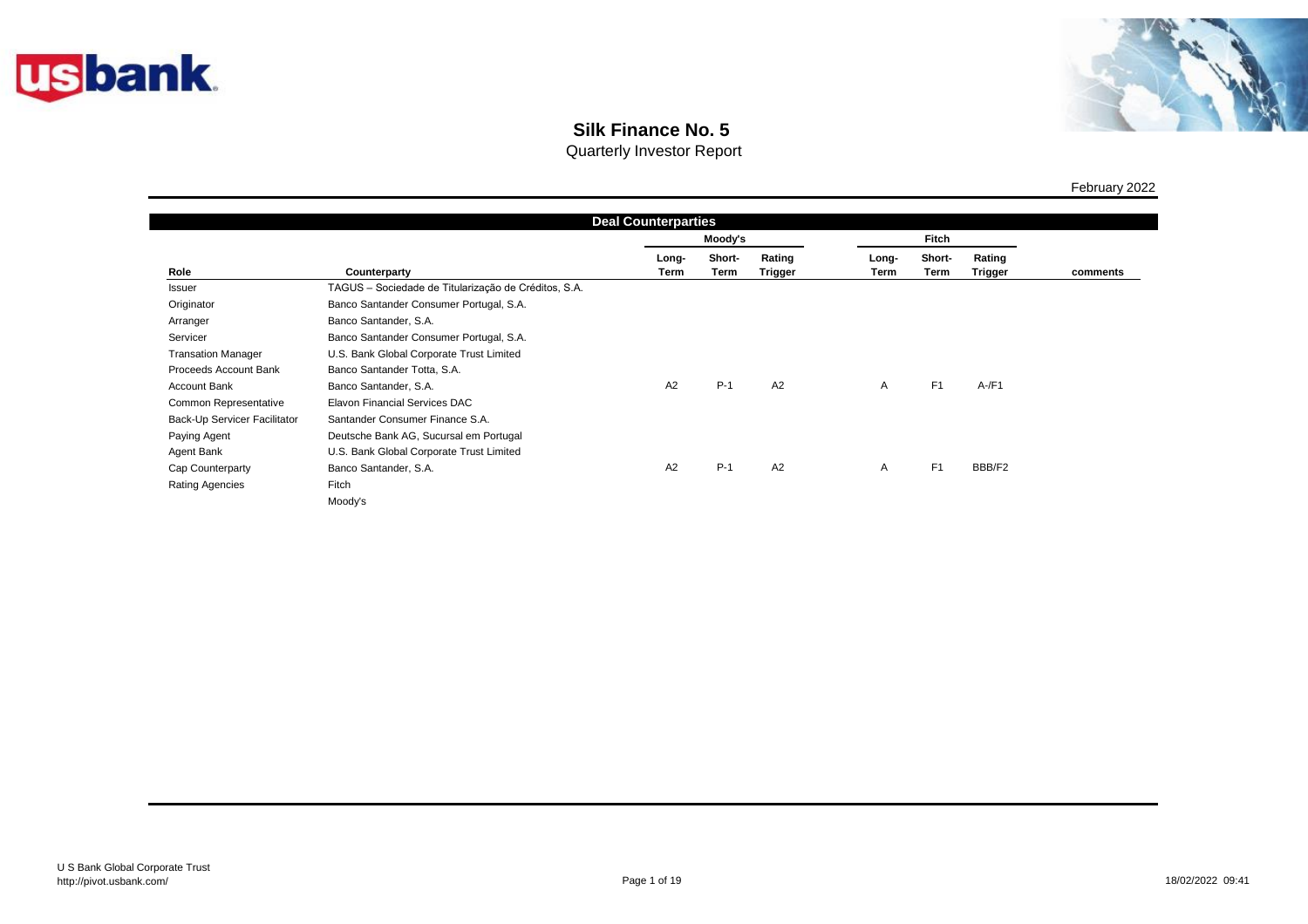



Quarterly Investor Report

|                              | <b>Deal Counterparties</b>                           |               |                |                          |               |                |                   |          |  |
|------------------------------|------------------------------------------------------|---------------|----------------|--------------------------|---------------|----------------|-------------------|----------|--|
|                              |                                                      | Moody's       |                |                          | <b>Fitch</b>  |                |                   |          |  |
| Role                         | Counterparty                                         | Long-<br>Term | Short-<br>Term | Rating<br><b>Trigger</b> | Long-<br>Term | Short-<br>Term | Rating<br>Trigger | comments |  |
| Issuer                       | TAGUS - Sociedade de Titularização de Créditos, S.A. |               |                |                          |               |                |                   |          |  |
| Originator                   | Banco Santander Consumer Portugal, S.A.              |               |                |                          |               |                |                   |          |  |
| Arranger                     | Banco Santander, S.A.                                |               |                |                          |               |                |                   |          |  |
| Servicer                     | Banco Santander Consumer Portugal, S.A.              |               |                |                          |               |                |                   |          |  |
| <b>Transation Manager</b>    | U.S. Bank Global Corporate Trust Limited             |               |                |                          |               |                |                   |          |  |
| Proceeds Account Bank        | Banco Santander Totta, S.A.                          |               |                |                          |               |                |                   |          |  |
| Account Bank                 | Banco Santander, S.A.                                | A2            | $P-1$          | A2                       | A             | F <sub>1</sub> | $A$ -/F1          |          |  |
| Common Representative        | Elavon Financial Services DAC                        |               |                |                          |               |                |                   |          |  |
| Back-Up Servicer Facilitator | Santander Consumer Finance S.A.                      |               |                |                          |               |                |                   |          |  |
| Paying Agent                 | Deutsche Bank AG, Sucursal em Portugal               |               |                |                          |               |                |                   |          |  |
| Agent Bank                   | U.S. Bank Global Corporate Trust Limited             |               |                |                          |               |                |                   |          |  |
| Cap Counterparty             | Banco Santander, S.A.                                | A2            | $P-1$          | A2                       | A             | F1             | BBB/F2            |          |  |
| <b>Rating Agencies</b>       | Fitch                                                |               |                |                          |               |                |                   |          |  |
|                              | Moody's                                              |               |                |                          |               |                |                   |          |  |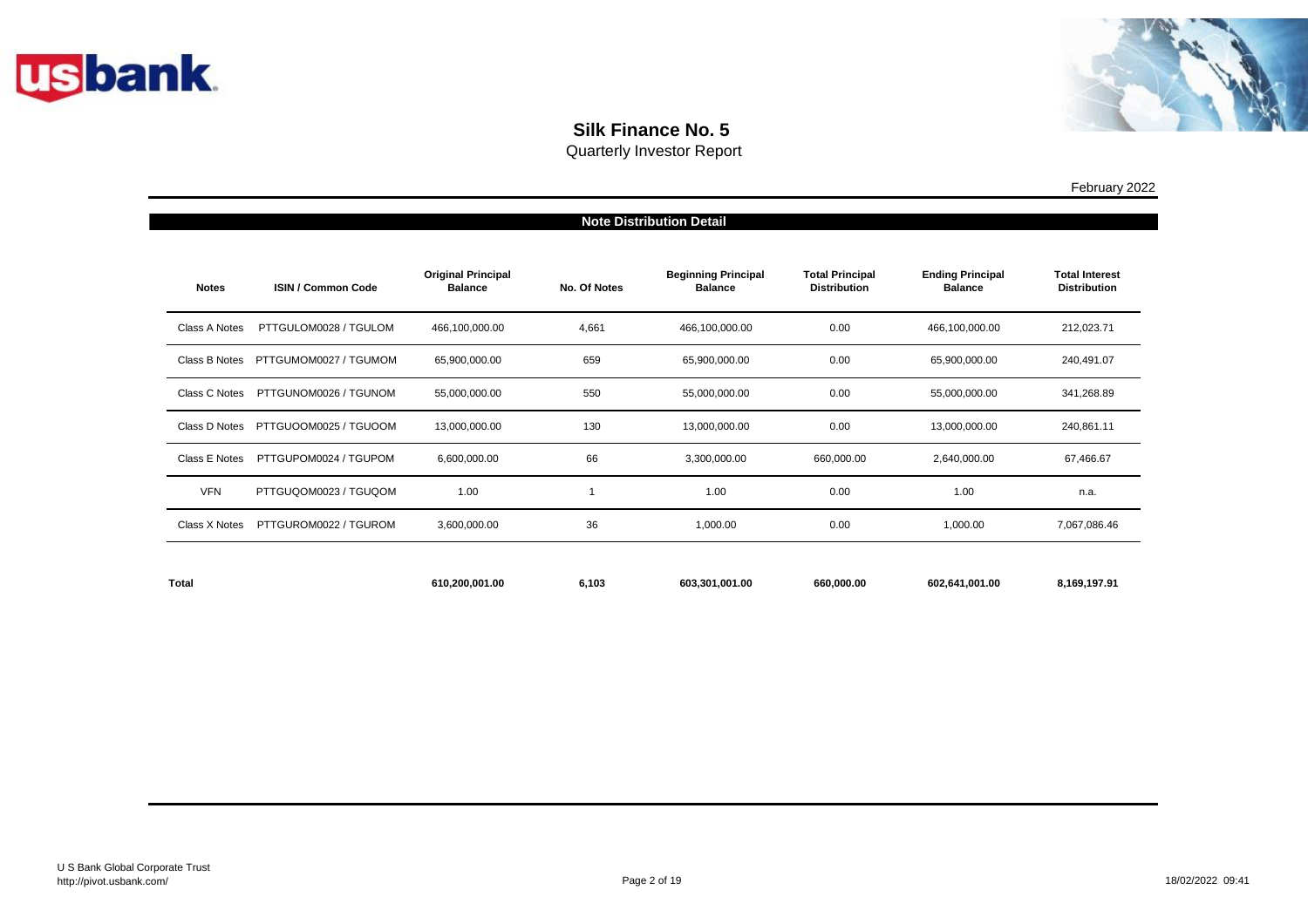



|               | <b>Note Distribution Detail</b> |                                             |                     |                                              |                                               |                                           |                                              |  |  |
|---------------|---------------------------------|---------------------------------------------|---------------------|----------------------------------------------|-----------------------------------------------|-------------------------------------------|----------------------------------------------|--|--|
| <b>Notes</b>  | <b>ISIN / Common Code</b>       | <b>Original Principal</b><br><b>Balance</b> | <b>No. Of Notes</b> | <b>Beginning Principal</b><br><b>Balance</b> | <b>Total Principal</b><br><b>Distribution</b> | <b>Ending Principal</b><br><b>Balance</b> | <b>Total Interest</b><br><b>Distribution</b> |  |  |
| Class A Notes | PTTGULOM0028 / TGULOM           | 466,100,000.00                              | 4,661               | 466,100,000.00                               | 0.00                                          | 466,100,000.00                            | 212,023.71                                   |  |  |
| Class B Notes | PTTGUMOM0027 / TGUMOM           | 65,900,000.00                               | 659                 | 65,900,000.00                                | 0.00                                          | 65,900,000.00                             | 240,491.07                                   |  |  |
| Class C Notes | PTTGUNOM0026 / TGUNOM           | 55,000,000.00                               | 550                 | 55,000,000.00                                | 0.00                                          | 55,000,000.00                             | 341,268.89                                   |  |  |
| Class D Notes | PTTGUOOM0025 / TGUOOM           | 13,000,000.00                               | 130                 | 13,000,000.00                                | 0.00                                          | 13,000,000.00                             | 240,861.11                                   |  |  |
| Class E Notes | PTTGUPOM0024 / TGUPOM           | 6,600,000.00                                | 66                  | 3,300,000.00                                 | 660,000.00                                    | 2,640,000.00                              | 67,466.67                                    |  |  |
| <b>VFN</b>    | PTTGUQOM0023 / TGUQOM           | 1.00                                        |                     | 1.00                                         | 0.00                                          | 1.00                                      | n.a.                                         |  |  |
| Class X Notes | PTTGUROM0022 / TGUROM           | 3,600,000.00                                | 36                  | 1,000.00                                     | 0.00                                          | 1,000.00                                  | 7,067,086.46                                 |  |  |
| <b>Total</b>  |                                 | 610,200,001.00                              | 6,103               | 603,301,001.00                               | 660,000.00                                    | 602,641,001.00                            | 8,169,197.91                                 |  |  |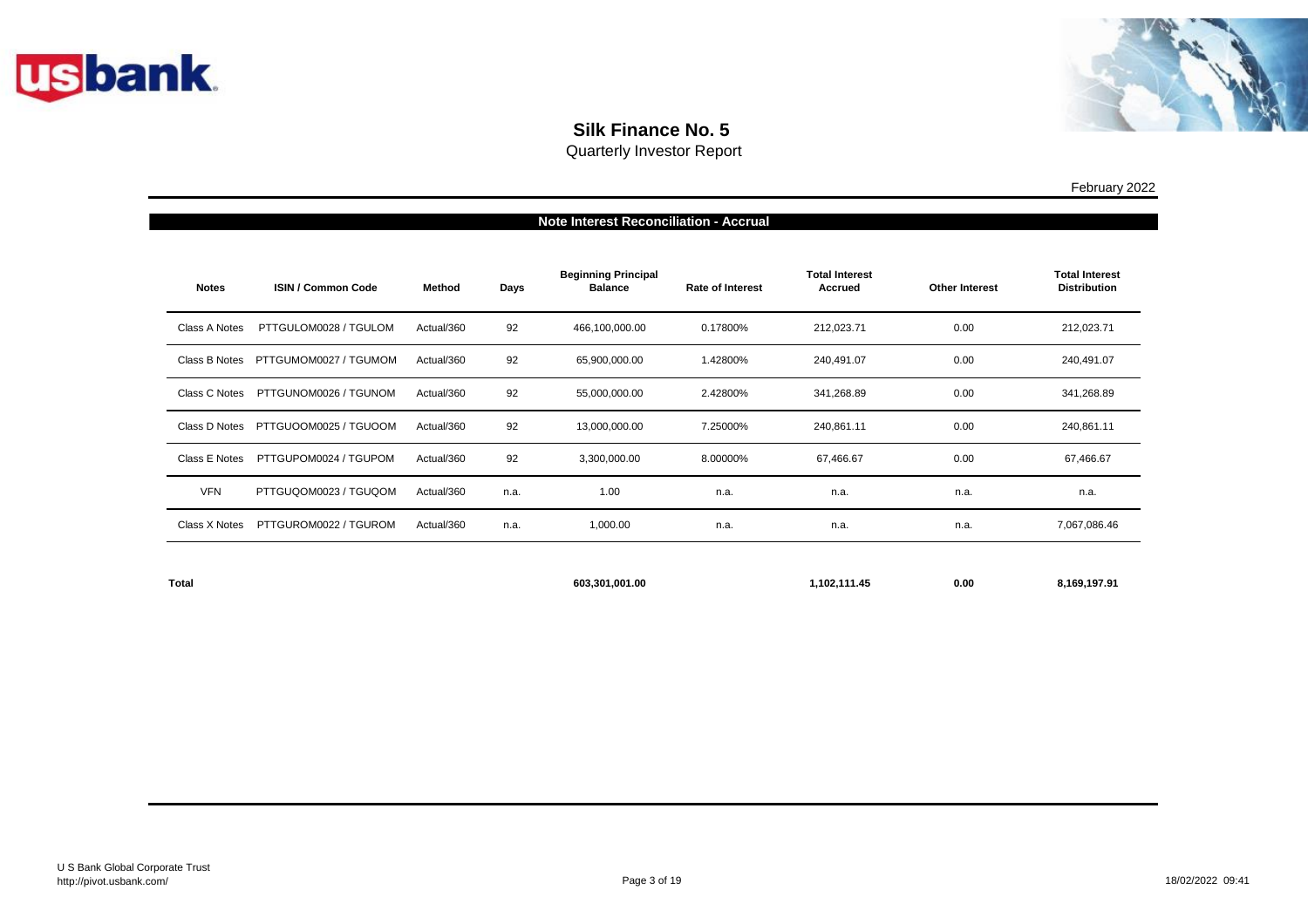



Quarterly Investor Report

| <b>Note Interest Reconciliation - Accrual</b> |                           |            |      |                                              |                         |                                         |                       |                                              |  |
|-----------------------------------------------|---------------------------|------------|------|----------------------------------------------|-------------------------|-----------------------------------------|-----------------------|----------------------------------------------|--|
| <b>Notes</b>                                  | <b>ISIN / Common Code</b> | Method     | Days | <b>Beginning Principal</b><br><b>Balance</b> | <b>Rate of Interest</b> | <b>Total Interest</b><br><b>Accrued</b> | <b>Other Interest</b> | <b>Total Interest</b><br><b>Distribution</b> |  |
| Class A Notes                                 | PTTGULOM0028 / TGULOM     | Actual/360 | 92   | 466,100,000.00                               | 0.17800%                | 212,023.71                              | 0.00                  | 212,023.71                                   |  |
| Class B Notes                                 | PTTGUMOM0027 / TGUMOM     | Actual/360 | 92   | 65,900,000.00                                | 1.42800%                | 240,491.07                              | 0.00                  | 240,491.07                                   |  |
| Class C Notes                                 | PTTGUNOM0026 / TGUNOM     | Actual/360 | 92   | 55,000,000.00                                | 2.42800%                | 341,268.89                              | 0.00                  | 341,268.89                                   |  |
| Class D Notes                                 | PTTGUOOM0025 / TGUOOM     | Actual/360 | 92   | 13,000,000.00                                | 7.25000%                | 240,861.11                              | 0.00                  | 240,861.11                                   |  |
| Class E Notes                                 | PTTGUPOM0024 / TGUPOM     | Actual/360 | 92   | 3,300,000.00                                 | 8.00000%                | 67,466.67                               | 0.00                  | 67,466.67                                    |  |
| <b>VFN</b>                                    | PTTGUQOM0023 / TGUQOM     | Actual/360 | n.a. | 1.00                                         | n.a.                    | n.a.                                    | n.a.                  | n.a.                                         |  |
| Class X Notes                                 | PTTGUROM0022 / TGUROM     | Actual/360 | n.a. | 1,000.00                                     | n.a.                    | n.a.                                    | n.a.                  | 7,067,086.46                                 |  |
|                                               |                           |            |      |                                              |                         |                                         |                       |                                              |  |

**603,301,001.00 1,102,111.45 0.00 8,169,197.91**

**Total**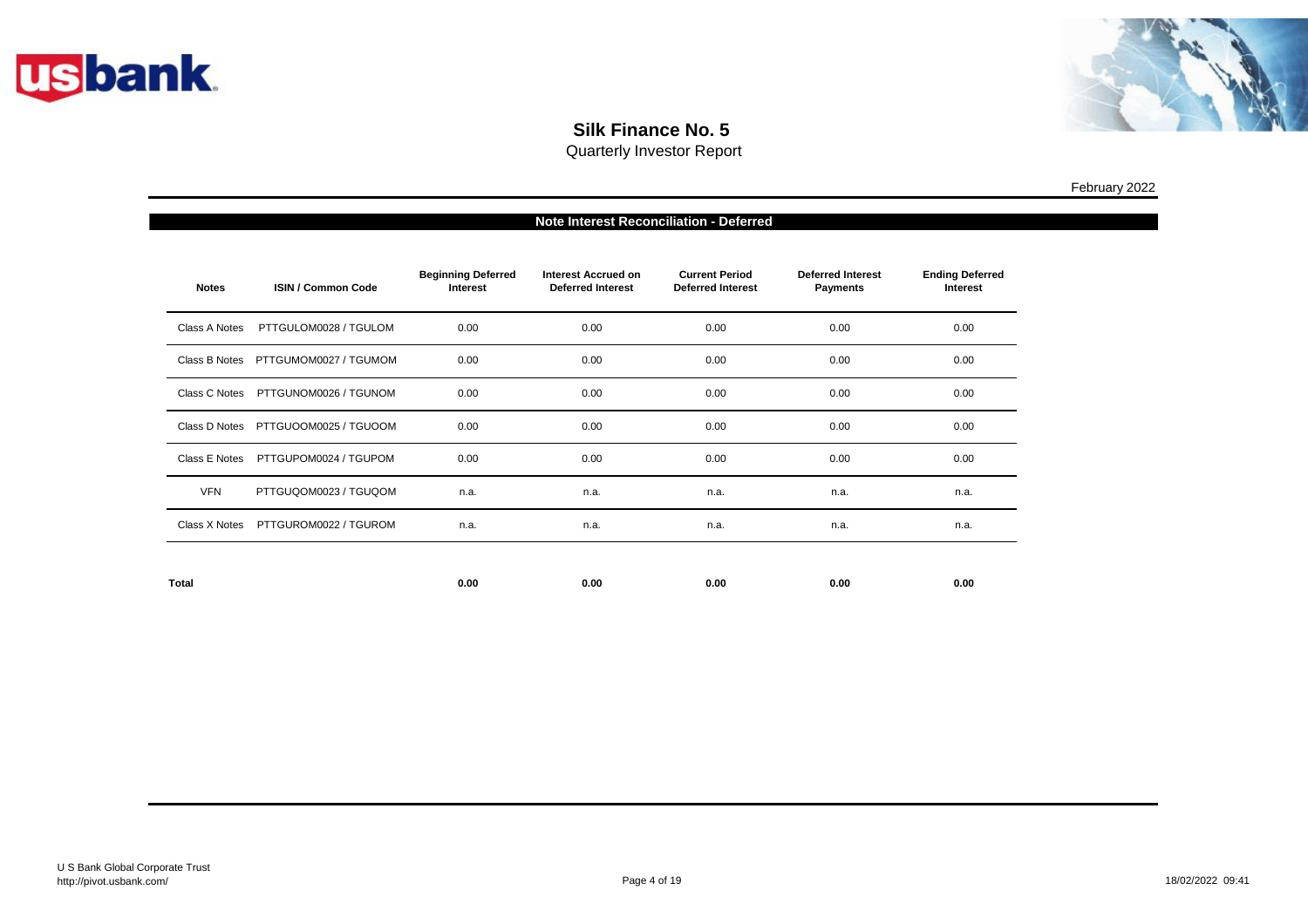



| Note Interest Reconciliation - Deferred |                                     |                                              |                                                        |                                                   |                                             |                                           |  |
|-----------------------------------------|-------------------------------------|----------------------------------------------|--------------------------------------------------------|---------------------------------------------------|---------------------------------------------|-------------------------------------------|--|
| <b>Notes</b>                            | <b>ISIN / Common Code</b>           | <b>Beginning Deferred</b><br><b>Interest</b> | <b>Interest Accrued on</b><br><b>Deferred Interest</b> | <b>Current Period</b><br><b>Deferred Interest</b> | <b>Deferred Interest</b><br><b>Payments</b> | <b>Ending Deferred</b><br><b>Interest</b> |  |
| Class A Notes                           | PTTGULOM0028 / TGULOM               | 0.00                                         | 0.00                                                   | 0.00                                              | 0.00                                        | 0.00                                      |  |
| Class B Notes                           | PTTGUMOM0027 / TGUMOM               | 0.00                                         | 0.00                                                   | 0.00                                              | 0.00                                        | 0.00                                      |  |
| Class C Notes                           | PTTGUNOM0026 / TGUNOM               | 0.00                                         | 0.00                                                   | 0.00                                              | 0.00                                        | 0.00                                      |  |
|                                         | Class D Notes PTTGUOOM0025 / TGUOOM | 0.00                                         | 0.00                                                   | 0.00                                              | 0.00                                        | 0.00                                      |  |
| Class E Notes                           | PTTGUPOM0024 / TGUPOM               | 0.00                                         | 0.00                                                   | 0.00                                              | 0.00                                        | 0.00                                      |  |
| <b>VFN</b>                              | PTTGUQOM0023 / TGUQOM               | n.a.                                         | n.a.                                                   | n.a.                                              | n.a.                                        | n.a.                                      |  |
| Class X Notes                           | PTTGUROM0022 / TGUROM               | n.a.                                         | n.a.                                                   | n.a.                                              | n.a.                                        | n.a.                                      |  |
|                                         |                                     |                                              |                                                        |                                                   |                                             |                                           |  |
| <b>Total</b>                            |                                     | 0.00                                         | 0.00                                                   | 0.00                                              | 0.00                                        | 0.00                                      |  |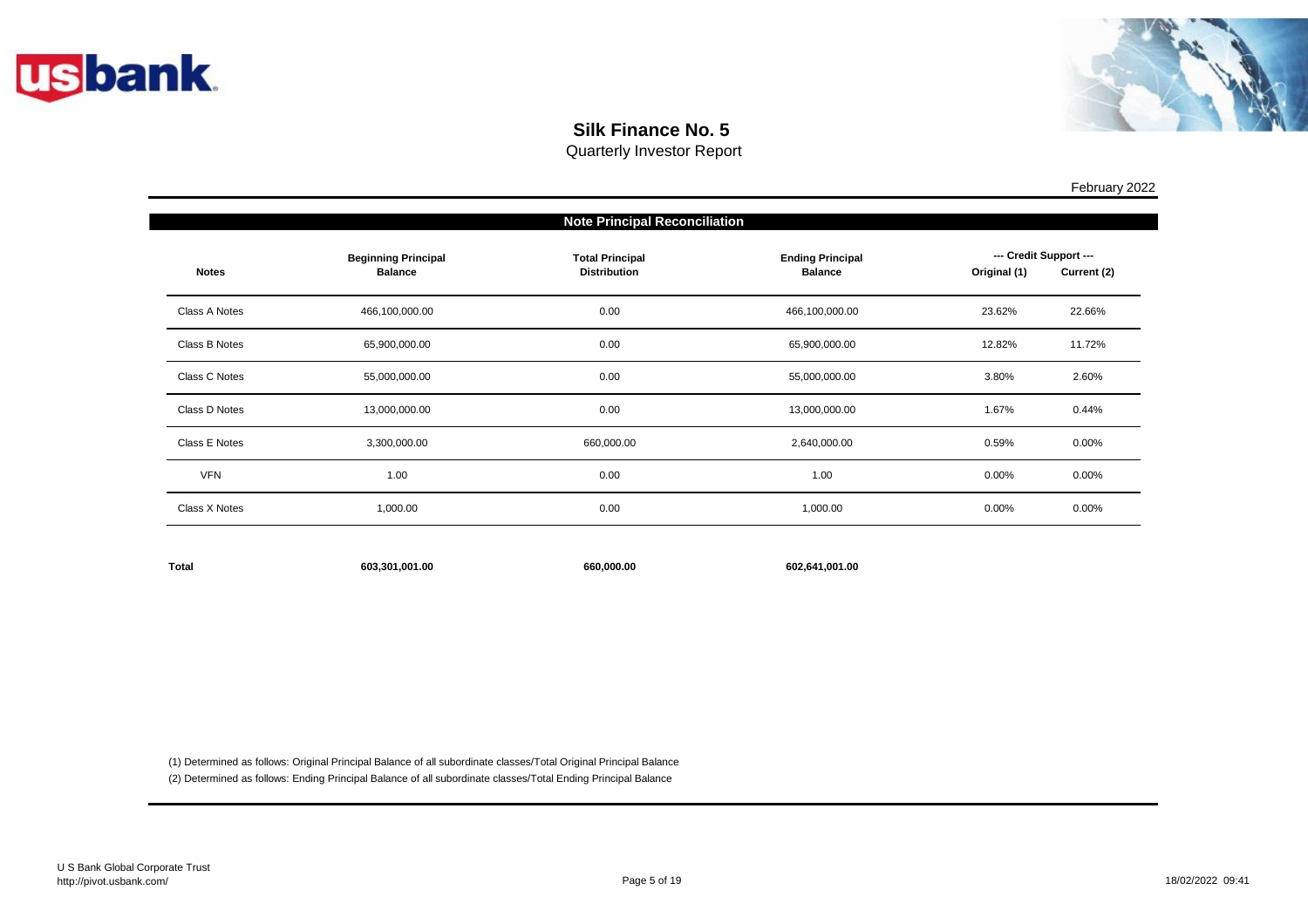



Quarterly Investor Report

| <b>Note Principal Reconciliation</b> |                                              |                                               |                                           |                                        |             |  |  |
|--------------------------------------|----------------------------------------------|-----------------------------------------------|-------------------------------------------|----------------------------------------|-------------|--|--|
| <b>Notes</b>                         | <b>Beginning Principal</b><br><b>Balance</b> | <b>Total Principal</b><br><b>Distribution</b> | <b>Ending Principal</b><br><b>Balance</b> | --- Credit Support ---<br>Original (1) | Current (2) |  |  |
| Class A Notes                        | 466,100,000.00                               | 0.00                                          | 466,100,000.00                            | 23.62%                                 | 22.66%      |  |  |
| Class B Notes                        | 65,900,000.00                                | 0.00                                          | 65,900,000.00                             | 12.82%                                 | 11.72%      |  |  |
| Class C Notes                        | 55,000,000.00                                | 0.00                                          | 55,000,000.00                             | 3.80%                                  | 2.60%       |  |  |
| Class D Notes                        | 13,000,000.00                                | 0.00                                          | 13,000,000.00                             | 1.67%                                  | 0.44%       |  |  |
| Class E Notes                        | 3,300,000.00                                 | 660,000.00                                    | 2,640,000.00                              | 0.59%                                  | $0.00\%$    |  |  |
| <b>VFN</b>                           | 1.00                                         | 0.00                                          | 1.00                                      | 0.00%                                  | $0.00\%$    |  |  |
| Class X Notes                        | 1,000.00                                     | 0.00                                          | 1,000.00                                  | $0.00\%$                               | $0.00\%$    |  |  |
|                                      |                                              |                                               |                                           |                                        |             |  |  |

| <b>Total</b><br>603.301.001.00 | 660.000.00 | 602.641.001.00 |
|--------------------------------|------------|----------------|
|--------------------------------|------------|----------------|

(1) Determined as follows: Original Principal Balance of all subordinate classes/Total Original Principal Balance

(2) Determined as follows: Ending Principal Balance of all subordinate classes/Total Ending Principal Balance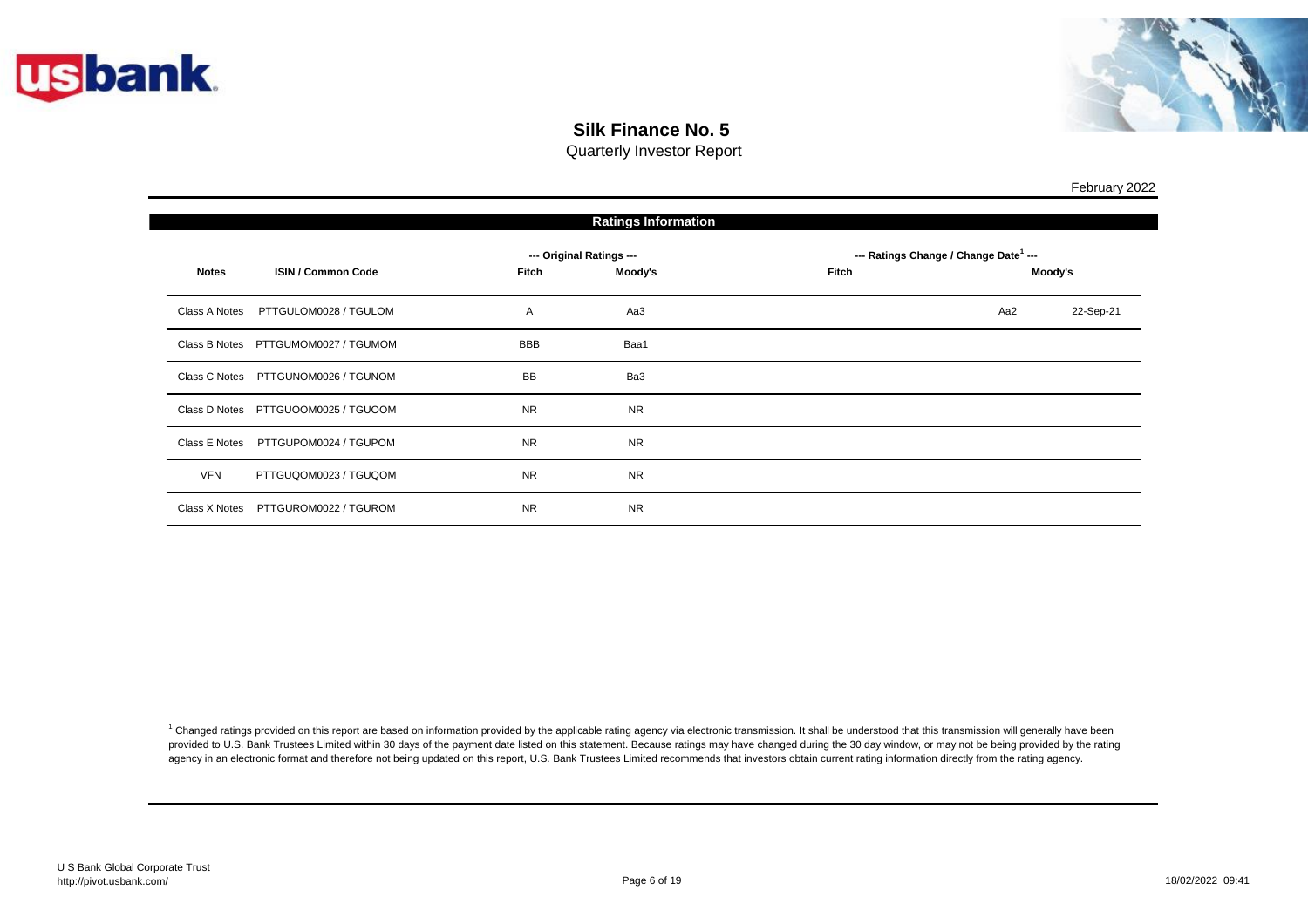

П



February 2022

## **Silk Finance No. 5**

Quarterly Investor Report

| <b>Ratings Information</b> |                                     |            |                          |       |                                                   |           |  |
|----------------------------|-------------------------------------|------------|--------------------------|-------|---------------------------------------------------|-----------|--|
|                            |                                     |            | --- Original Ratings --- |       | --- Ratings Change / Change Date <sup>1</sup> --- |           |  |
| <b>Notes</b>               | <b>ISIN / Common Code</b>           | Fitch      | Moody's                  | Fitch |                                                   | Moody's   |  |
| Class A Notes              | PTTGULOM0028 / TGULOM               | Α          | Aa3                      |       | Aa2                                               | 22-Sep-21 |  |
|                            | Class B Notes PTTGUMOM0027 / TGUMOM | <b>BBB</b> | Baa1                     |       |                                                   |           |  |
|                            | Class C Notes PTTGUNOM0026 / TGUNOM | <b>BB</b>  | Ba3                      |       |                                                   |           |  |
|                            | Class D Notes PTTGUOOM0025 / TGUOOM | <b>NR</b>  | <b>NR</b>                |       |                                                   |           |  |
| Class E Notes              | PTTGUPOM0024 / TGUPOM               | <b>NR</b>  | <b>NR</b>                |       |                                                   |           |  |
| <b>VFN</b>                 | PTTGUQOM0023 / TGUQOM               | <b>NR</b>  | <b>NR</b>                |       |                                                   |           |  |
|                            | Class X Notes PTTGUROM0022 / TGUROM | <b>NR</b>  | <b>NR</b>                |       |                                                   |           |  |

<sup>1</sup> Changed ratings provided on this report are based on information provided by the applicable rating agency via electronic transmission. It shall be understood that this transmission will generally have been provided to U.S. Bank Trustees Limited within 30 days of the payment date listed on this statement. Because ratings may have changed during the 30 day window, or may not be being provided by the rating agency in an electronic format and therefore not being updated on this report, U.S. Bank Trustees Limited recommends that investors obtain current rating information directly from the rating agency.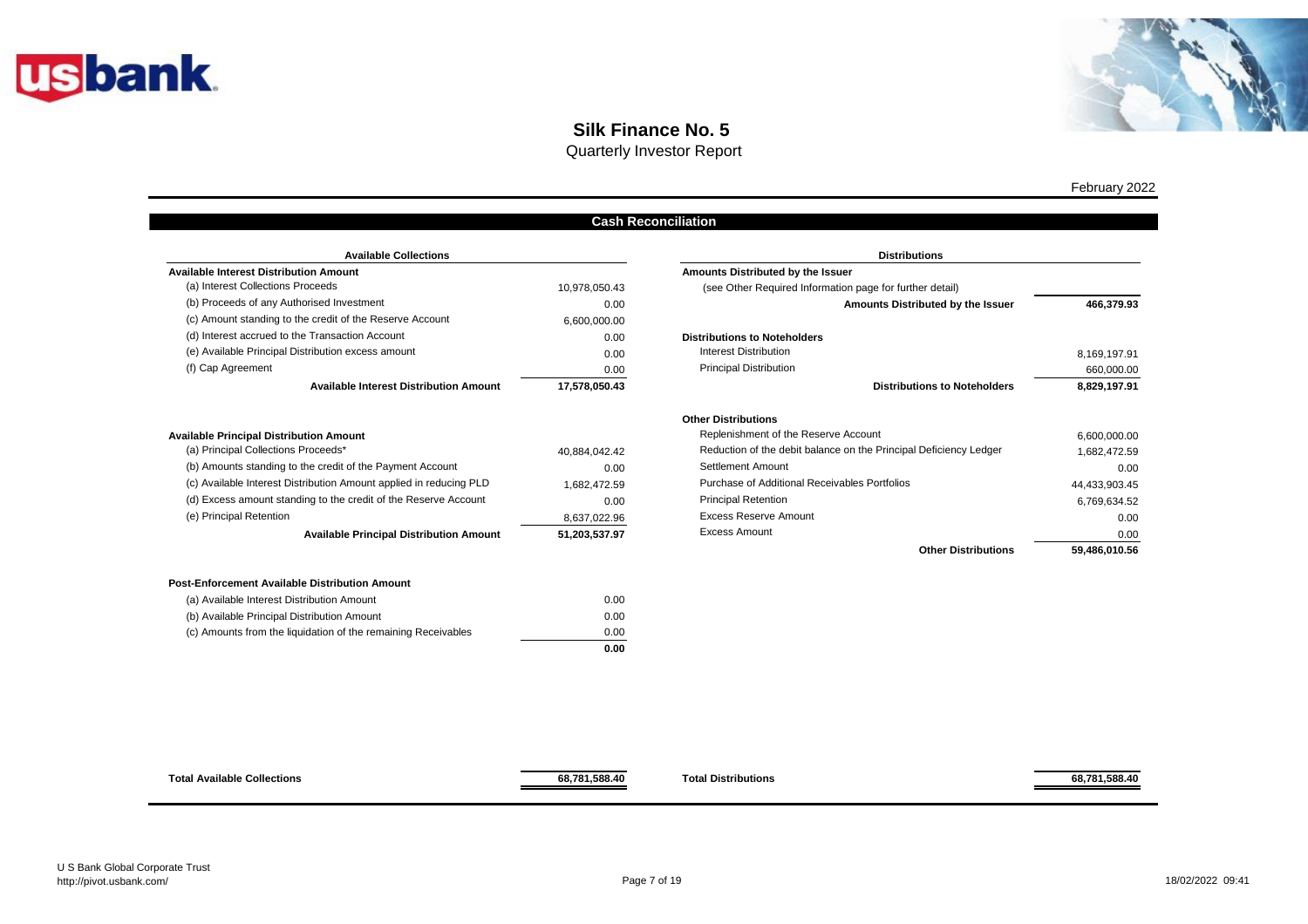



Quarterly Investor Report

#### **Cash Reconciliation**

| <b>Available Collections</b>                             | <b>Distributions</b> |                                                     |
|----------------------------------------------------------|----------------------|-----------------------------------------------------|
| <b>Available Interest Distribution Amount</b>            |                      | Amounts Distributed by the Issuer                   |
| (a) Interest Collections Proceeds                        | 10,978,050.43        | (see Other Required Information page for further de |
| (b) Proceeds of any Authorised Investment                | 0.00                 | Amounts Distribute                                  |
| (c) Amount standing to the credit of the Reserve Account | 6,600,000.00         |                                                     |
| (d) Interest accrued to the Transaction Account          | 0.00                 | <b>Distributions to Noteholders</b>                 |
| (e) Available Principal Distribution excess amount       | 0.00                 | Interest Distribution                               |
| (f) Cap Agreement                                        | 0.00                 | <b>Principal Distribution</b>                       |
| <b>Available Interest Distribution Amount</b>            | 17.578.050.43        | <b>Distributions</b>                                |

| <b>Available Principal Distribution Amount</b> |  |
|------------------------------------------------|--|
|------------------------------------------------|--|

| <b>Available Principal Distribution Amount</b>                     | 51,203,537.97 |
|--------------------------------------------------------------------|---------------|
| (e) Principal Retention                                            | 8.637.022.96  |
| (d) Excess amount standing to the credit of the Reserve Account    | 0.00          |
| (c) Available Interest Distribution Amount applied in reducing PLD | 1.682.472.59  |
| (b) Amounts standing to the credit of the Payment Account          | 0.00          |
| (a) Principal Collections Proceeds*                                | 40.884.042.42 |

| (a) Available Interest Distribution Amount                    | 0.00 |
|---------------------------------------------------------------|------|
| (b) Available Principal Distribution Amount                   | 0.00 |
| (c) Amounts from the liquidation of the remaining Receivables | 0.00 |
|                                                               | 0.00 |

| <b>Available Collections</b>                  |               | <b>Distributions</b>                                              |               |
|-----------------------------------------------|---------------|-------------------------------------------------------------------|---------------|
| n Amount                                      |               | Amounts Distributed by the Issuer                                 |               |
| ceeds                                         | 10,978,050.43 | (see Other Required Information page for further detail)          |               |
| ised Investment                               | 0.00          | Amounts Distributed by the Issuer                                 | 466,379.93    |
| credit of the Reserve Account                 | 6,600,000.00  |                                                                   |               |
| <b>Transaction Account</b>                    | 0.00          | <b>Distributions to Noteholders</b>                               |               |
| ibution excess amount                         | 0.00          | Interest Distribution                                             | 8,169,197.91  |
|                                               | 0.00          | <b>Principal Distribution</b>                                     | 660,000.00    |
| <b>Available Interest Distribution Amount</b> | 17,578,050.43 | <b>Distributions to Noteholders</b>                               | 8,829,197.91  |
|                                               |               | <b>Other Distributions</b>                                        |               |
| on Amount                                     |               | Replenishment of the Reserve Account                              | 6,600,000.00  |
| oceeds*                                       | 40,884,042.42 | Reduction of the debit balance on the Principal Deficiency Ledger | 1,682,472.59  |
| e credit of the Payment Account               | 0.00          | Settlement Amount                                                 | 0.00          |
| oution Amount applied in reducing PLD         | 1,682,472.59  | Purchase of Additional Receivables Portfolios                     | 44,433,903.45 |
| g to the credit of the Reserve Account        | 0.00          | <b>Principal Retention</b>                                        | 6,769,634.52  |
|                                               | 8,637,022.96  | <b>Excess Reserve Amount</b>                                      | 0.00          |
| vailable Principal Distribution Amount        | 51,203,537.97 | <b>Excess Amount</b>                                              | 0.00          |
|                                               |               | <b>Other Distributions</b>                                        | 59,486,010.56 |



**68,781,588.40**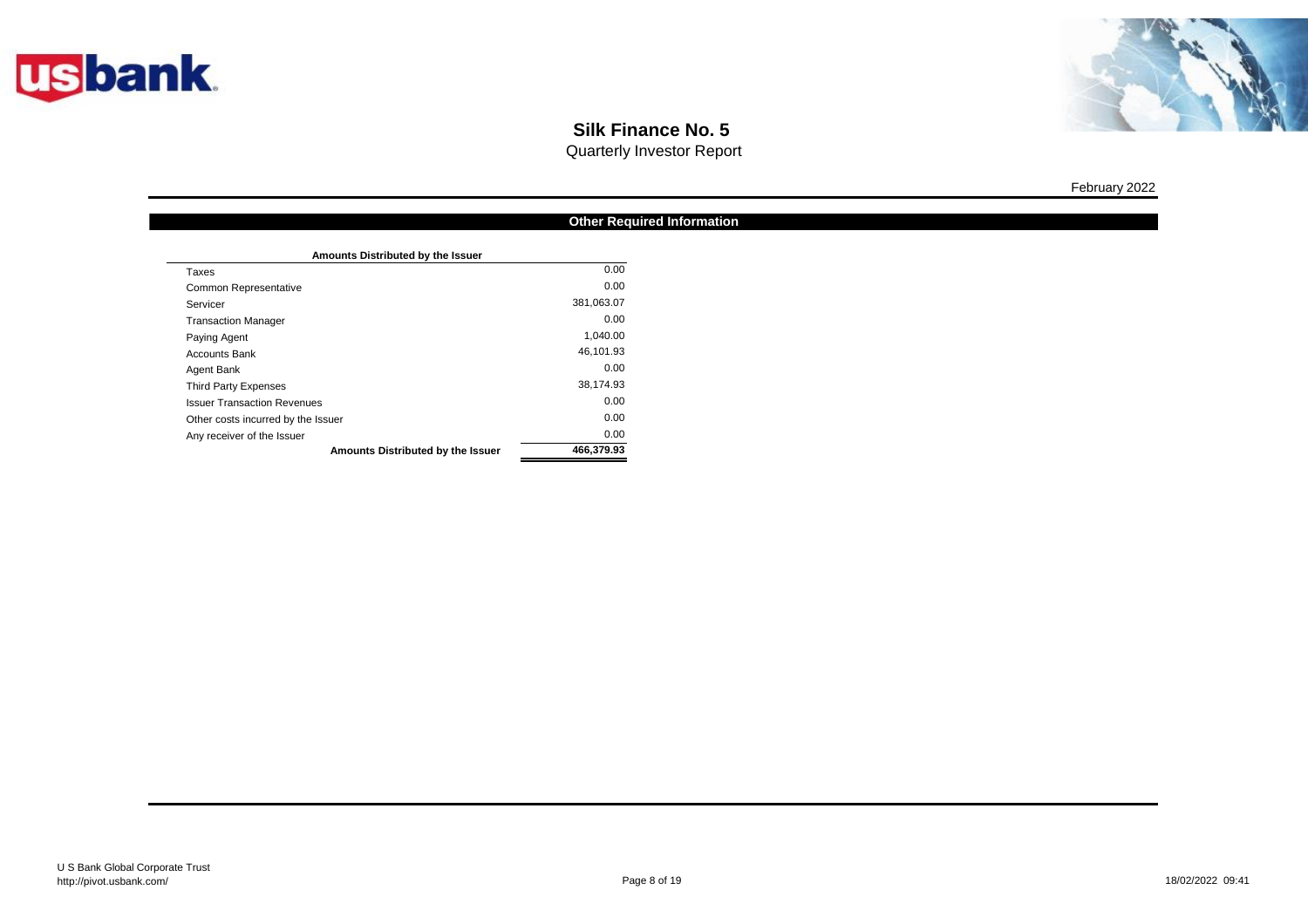



Quarterly Investor Report

|                                    | <b>Other Required Information</b> |
|------------------------------------|-----------------------------------|
|                                    |                                   |
| Amounts Distributed by the Issuer  |                                   |
| Taxes                              | 0.00                              |
| <b>Common Representative</b>       | 0.00                              |
| Servicer                           | 381,063.07                        |
| <b>Transaction Manager</b>         | 0.00                              |
| Paying Agent                       | 1,040.00                          |
| <b>Accounts Bank</b>               | 46,101.93                         |
| Agent Bank                         | 0.00                              |
| <b>Third Party Expenses</b>        | 38,174.93                         |
| <b>Issuer Transaction Revenues</b> | 0.00                              |
| Other costs incurred by the Issuer | 0.00                              |
| Any receiver of the Issuer         | 0.00                              |
| Amounts Distributed by the Issuer  | 466,379.93                        |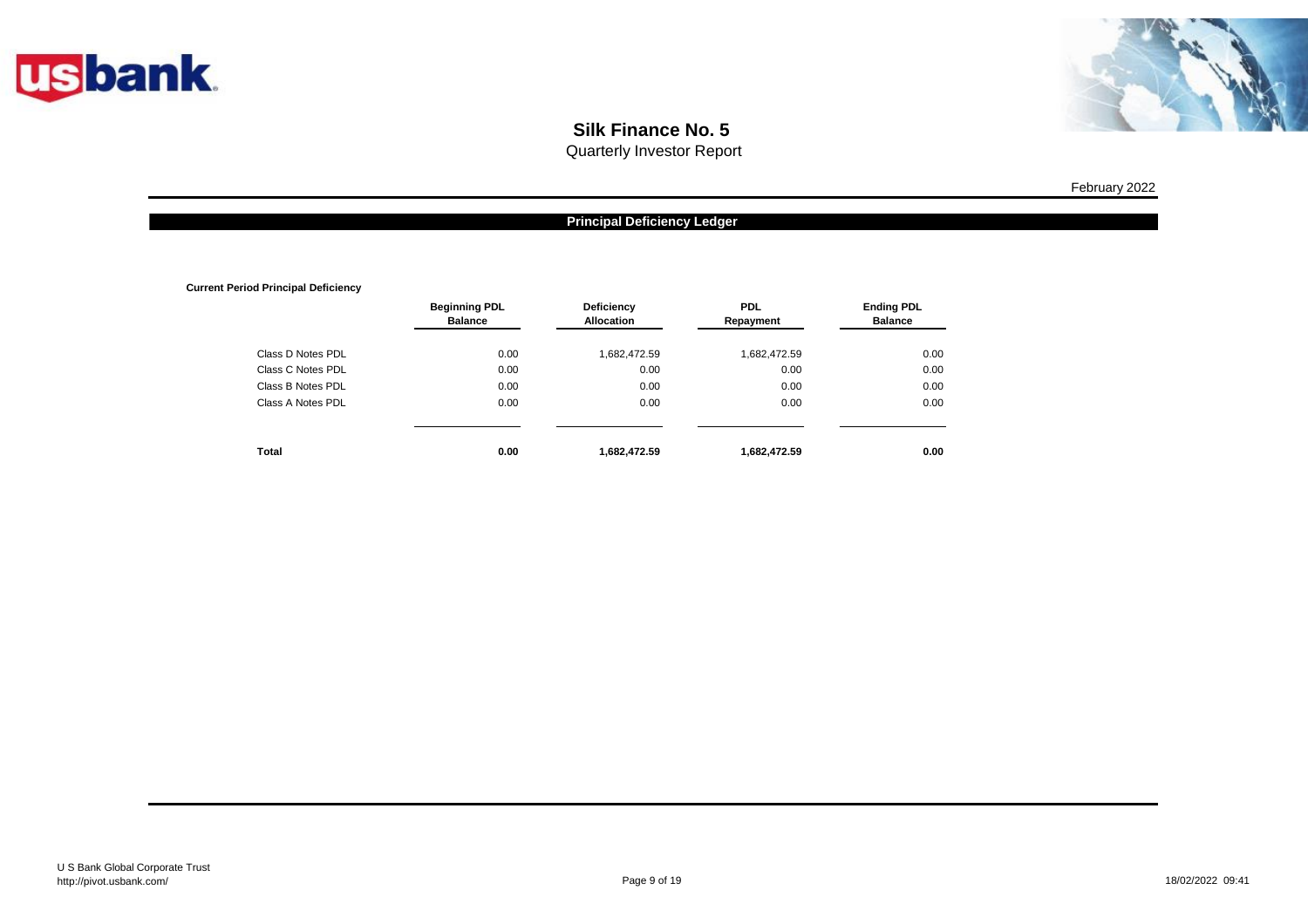



Quarterly Investor Report

#### **Principal Deficiency Ledger**

**Current Period Principal Deficiency**

|                   | <b>Beginning PDL</b><br><b>Balance</b> | <b>Deficiency</b><br><b>Allocation</b> | <b>PDL</b><br>Repayment | <b>Ending PDL</b><br><b>Balance</b> |
|-------------------|----------------------------------------|----------------------------------------|-------------------------|-------------------------------------|
| Class D Notes PDL | 0.00                                   | 1,682,472.59                           | 1,682,472.59            | 0.00                                |
| Class C Notes PDL | 0.00                                   | 0.00                                   | 0.00                    | 0.00                                |
| Class B Notes PDL | 0.00                                   | 0.00                                   | 0.00                    | 0.00                                |
| Class A Notes PDL | 0.00                                   | 0.00                                   | 0.00                    | 0.00                                |
| Total             | 0.00                                   | 1,682,472.59                           | 1,682,472.59            | 0.00                                |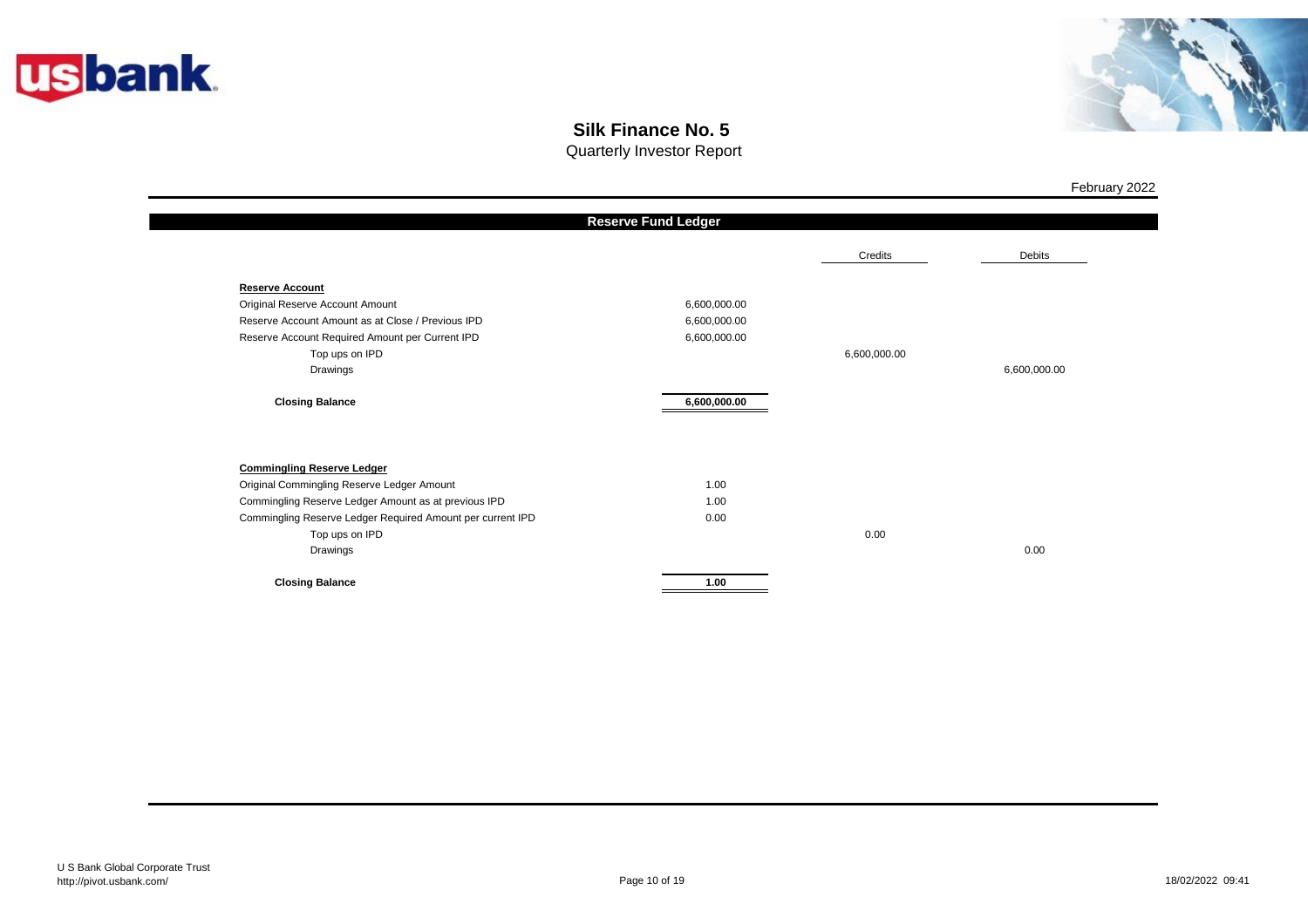



Quarterly Investor Report

|                                                            | <b>Reserve Fund Ledger</b> |              |              |
|------------------------------------------------------------|----------------------------|--------------|--------------|
|                                                            |                            | Credits      | Debits       |
| <b>Reserve Account</b>                                     |                            |              |              |
| Original Reserve Account Amount                            | 6,600,000.00               |              |              |
| Reserve Account Amount as at Close / Previous IPD          | 6,600,000.00               |              |              |
| Reserve Account Required Amount per Current IPD            | 6,600,000.00               |              |              |
| Top ups on IPD                                             |                            | 6,600,000.00 |              |
| Drawings                                                   |                            |              | 6,600,000.00 |
| <b>Closing Balance</b>                                     | 6,600,000.00               |              |              |
| <b>Commingling Reserve Ledger</b>                          |                            |              |              |
| Original Commingling Reserve Ledger Amount                 | 1.00                       |              |              |
| Commingling Reserve Ledger Amount as at previous IPD       | 1.00                       |              |              |
| Commingling Reserve Ledger Required Amount per current IPD | 0.00                       |              |              |
| Top ups on IPD                                             |                            | 0.00         |              |
| Drawings                                                   |                            |              | 0.00         |
| <b>Closing Balance</b>                                     | 1.00                       |              |              |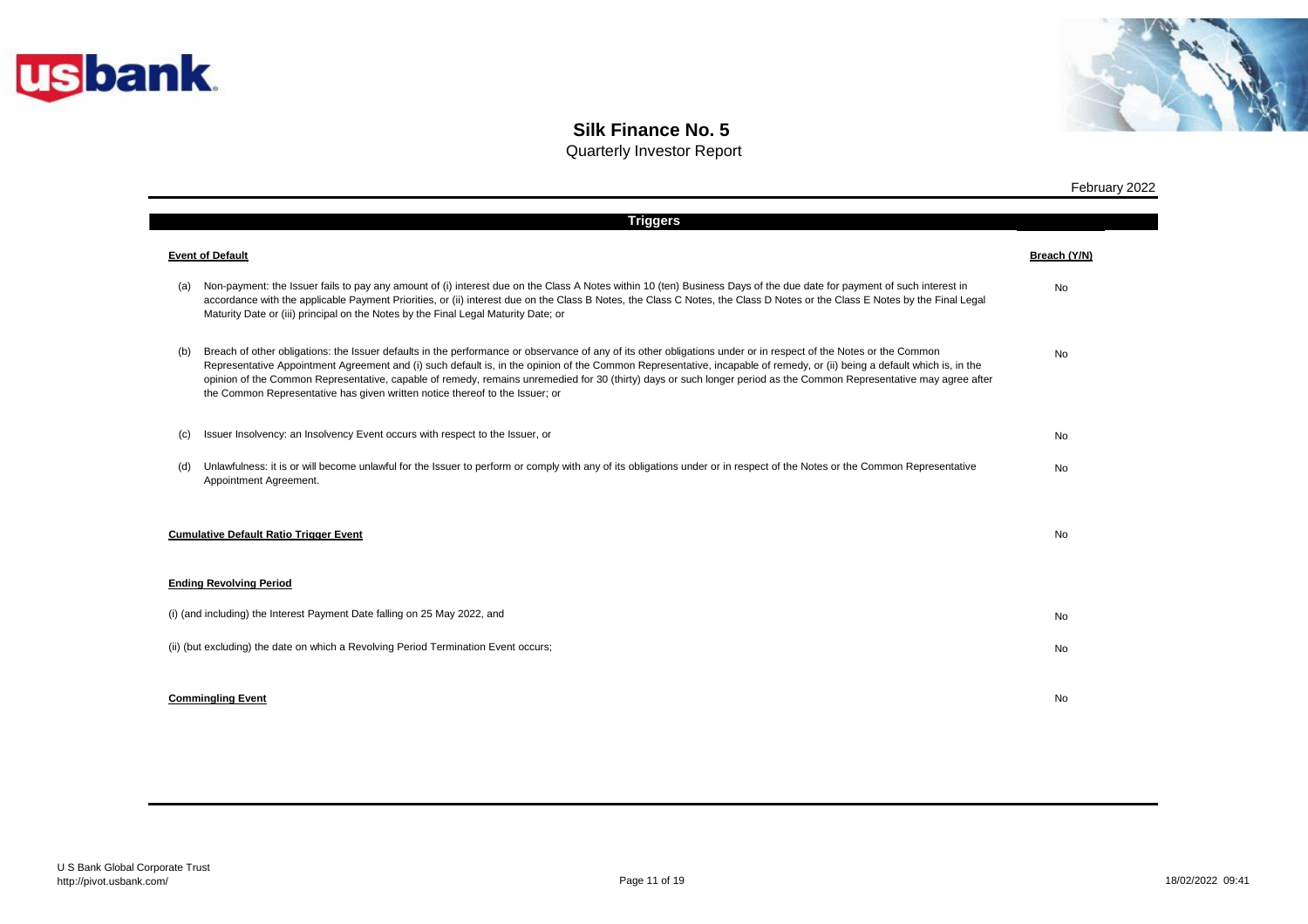



|     | <b>Triggers</b>                                                                                                                                                                                                                                                                                                                                                                                                                                                                                                                                                                                     |              |
|-----|-----------------------------------------------------------------------------------------------------------------------------------------------------------------------------------------------------------------------------------------------------------------------------------------------------------------------------------------------------------------------------------------------------------------------------------------------------------------------------------------------------------------------------------------------------------------------------------------------------|--------------|
|     | <b>Event of Default</b>                                                                                                                                                                                                                                                                                                                                                                                                                                                                                                                                                                             | Breach (Y/N) |
| (a) | Non-payment: the Issuer fails to pay any amount of (i) interest due on the Class A Notes within 10 (ten) Business Days of the due date for payment of such interest in<br>accordance with the applicable Payment Priorities, or (ii) interest due on the Class B Notes, the Class C Notes, the Class D Notes or the Class E Notes by the Final Legal<br>Maturity Date or (iii) principal on the Notes by the Final Legal Maturity Date; or                                                                                                                                                          | <b>No</b>    |
| (b) | Breach of other obligations: the Issuer defaults in the performance or observance of any of its other obligations under or in respect of the Notes or the Common<br>Representative Appointment Agreement and (i) such default is, in the opinion of the Common Representative, incapable of remedy, or (ii) being a default which is, in the<br>opinion of the Common Representative, capable of remedy, remains unremedied for 30 (thirty) days or such longer period as the Common Representative may agree after<br>the Common Representative has given written notice thereof to the Issuer; or | <b>No</b>    |
| (c) | Issuer Insolvency: an Insolvency Event occurs with respect to the Issuer, or                                                                                                                                                                                                                                                                                                                                                                                                                                                                                                                        | No           |
| (d) | Unlawfulness: it is or will become unlawful for the Issuer to perform or comply with any of its obligations under or in respect of the Notes or the Common Representative<br>Appointment Agreement.                                                                                                                                                                                                                                                                                                                                                                                                 | <b>No</b>    |
|     | <b>Cumulative Default Ratio Trigger Event</b>                                                                                                                                                                                                                                                                                                                                                                                                                                                                                                                                                       | No           |
|     | <b>Ending Revolving Period</b>                                                                                                                                                                                                                                                                                                                                                                                                                                                                                                                                                                      |              |
|     | (i) (and including) the Interest Payment Date falling on 25 May 2022, and                                                                                                                                                                                                                                                                                                                                                                                                                                                                                                                           | No           |
|     | (ii) (but excluding) the date on which a Revolving Period Termination Event occurs;                                                                                                                                                                                                                                                                                                                                                                                                                                                                                                                 | <b>No</b>    |
|     | <b>Commingling Event</b>                                                                                                                                                                                                                                                                                                                                                                                                                                                                                                                                                                            | No           |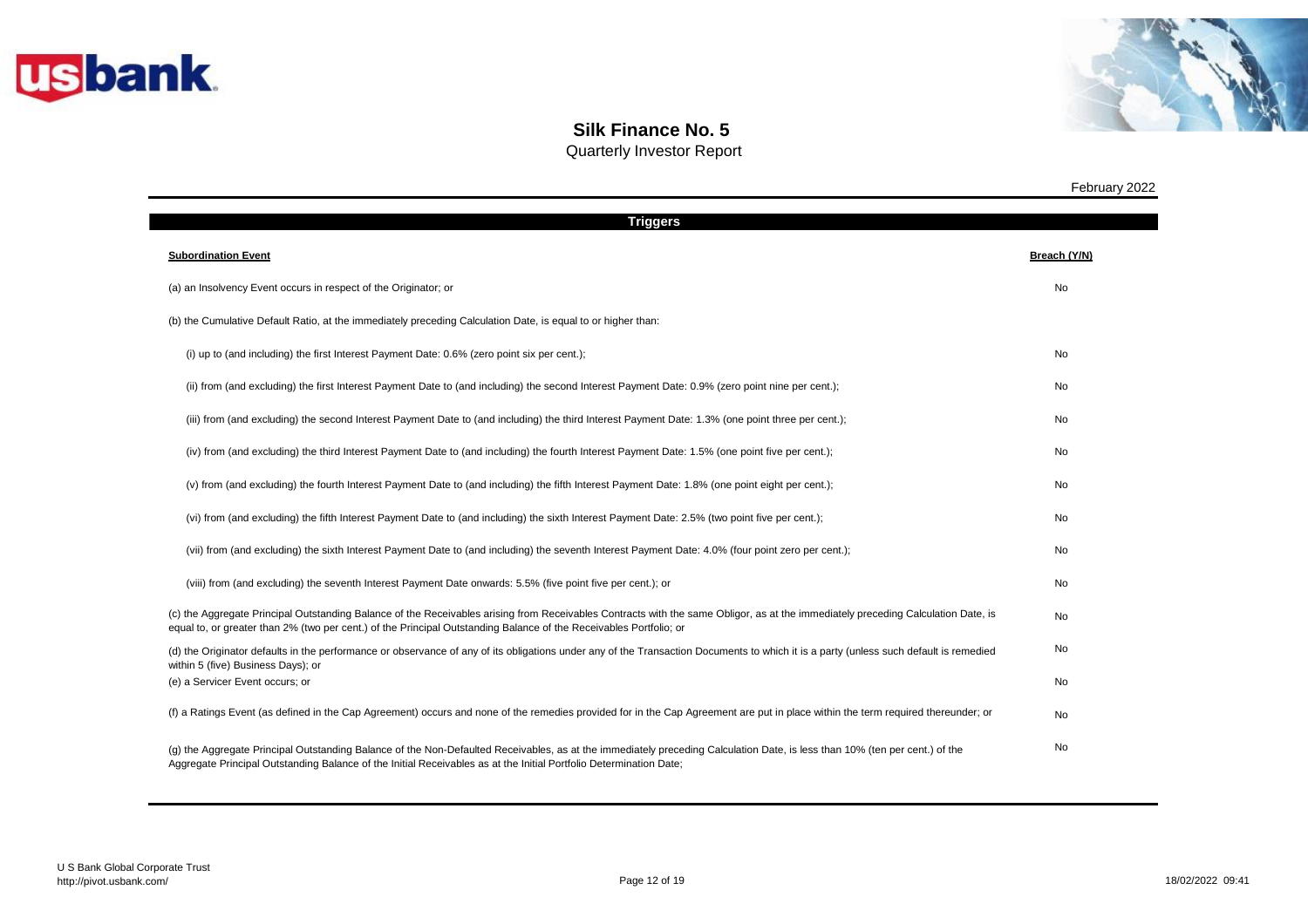



| <b>Triggers</b>                                                                                                                                                                                                                                                                                         |              |
|---------------------------------------------------------------------------------------------------------------------------------------------------------------------------------------------------------------------------------------------------------------------------------------------------------|--------------|
| <b>Subordination Event</b>                                                                                                                                                                                                                                                                              | Breach (Y/N) |
| (a) an Insolvency Event occurs in respect of the Originator; or                                                                                                                                                                                                                                         | No           |
| (b) the Cumulative Default Ratio, at the immediately preceding Calculation Date, is equal to or higher than:                                                                                                                                                                                            |              |
| (i) up to (and including) the first Interest Payment Date: 0.6% (zero point six per cent.);                                                                                                                                                                                                             | No           |
| (ii) from (and excluding) the first Interest Payment Date to (and including) the second Interest Payment Date: 0.9% (zero point nine per cent.);                                                                                                                                                        | No           |
| (iii) from (and excluding) the second Interest Payment Date to (and including) the third Interest Payment Date: 1.3% (one point three per cent.);                                                                                                                                                       | No           |
| (iv) from (and excluding) the third Interest Payment Date to (and including) the fourth Interest Payment Date: 1.5% (one point five per cent.);                                                                                                                                                         | No           |
| (v) from (and excluding) the fourth Interest Payment Date to (and including) the fifth Interest Payment Date: 1.8% (one point eight per cent.);                                                                                                                                                         | No           |
| (vi) from (and excluding) the fifth Interest Payment Date to (and including) the sixth Interest Payment Date: 2.5% (two point five per cent.);                                                                                                                                                          | No           |
| (vii) from (and excluding) the sixth Interest Payment Date to (and including) the seventh Interest Payment Date: 4.0% (four point zero per cent.);                                                                                                                                                      | No           |
| (viii) from (and excluding) the seventh Interest Payment Date onwards: 5.5% (five point five per cent.); or                                                                                                                                                                                             | No           |
| (c) the Aggregate Principal Outstanding Balance of the Receivables arising from Receivables Contracts with the same Obligor, as at the immediately preceding Calculation Date, is<br>equal to, or greater than 2% (two per cent.) of the Principal Outstanding Balance of the Receivables Portfolio; or | No           |
| (d) the Originator defaults in the performance or observance of any of its obligations under any of the Transaction Documents to which it is a party (unless such default is remedied<br>within 5 (five) Business Days); or                                                                             | No           |
| (e) a Servicer Event occurs; or                                                                                                                                                                                                                                                                         | No           |
| (f) a Ratings Event (as defined in the Cap Agreement) occurs and none of the remedies provided for in the Cap Agreement are put in place within the term required thereunder; or                                                                                                                        | No           |
| (g) the Aggregate Principal Outstanding Balance of the Non-Defaulted Receivables, as at the immediately preceding Calculation Date, is less than 10% (ten per cent.) of the<br>Aggregate Principal Outstanding Balance of the Initial Receivables as at the Initial Portfolio Determination Date;       | No           |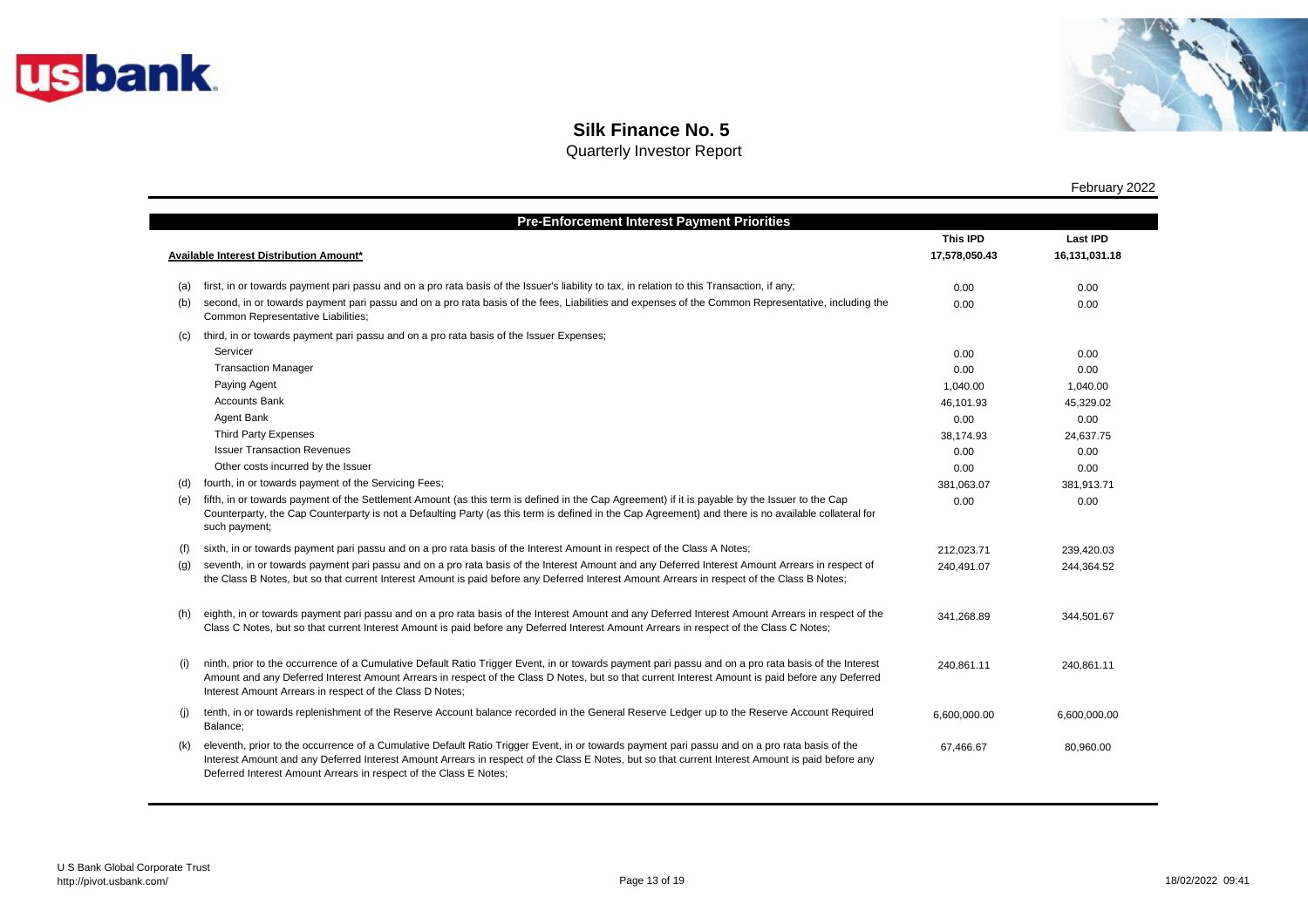



Quarterly Investor Report

|     | <b>Pre-Enforcement Interest Payment Priorities</b>                                                                                                                                                                                                                                                                                                                      |                 |                 |
|-----|-------------------------------------------------------------------------------------------------------------------------------------------------------------------------------------------------------------------------------------------------------------------------------------------------------------------------------------------------------------------------|-----------------|-----------------|
|     |                                                                                                                                                                                                                                                                                                                                                                         | <b>This IPD</b> | <b>Last IPD</b> |
|     | <b>Available Interest Distribution Amount*</b>                                                                                                                                                                                                                                                                                                                          | 17,578,050.43   | 16,131,031.18   |
|     |                                                                                                                                                                                                                                                                                                                                                                         |                 |                 |
| (a) | first, in or towards payment pari passu and on a pro rata basis of the Issuer's liability to tax, in relation to this Transaction, if any;                                                                                                                                                                                                                              | 0.00            | 0.00            |
| (b) | second, in or towards payment pari passu and on a pro rata basis of the fees, Liabilities and expenses of the Common Representative, including the<br>Common Representative Liabilities;                                                                                                                                                                                | 0.00            | 0.00            |
| (C) | third, in or towards payment pari passu and on a pro rata basis of the Issuer Expenses;                                                                                                                                                                                                                                                                                 |                 |                 |
|     | Servicer                                                                                                                                                                                                                                                                                                                                                                | 0.00            | 0.00            |
|     | <b>Transaction Manager</b>                                                                                                                                                                                                                                                                                                                                              | 0.00            | 0.00            |
|     | Paying Agent                                                                                                                                                                                                                                                                                                                                                            | 1,040.00        | 1,040.00        |
|     | <b>Accounts Bank</b>                                                                                                                                                                                                                                                                                                                                                    | 46,101.93       | 45,329.02       |
|     | Agent Bank                                                                                                                                                                                                                                                                                                                                                              | 0.00            | 0.00            |
|     | Third Party Expenses                                                                                                                                                                                                                                                                                                                                                    | 38,174.93       | 24,637.75       |
|     | <b>Issuer Transaction Revenues</b>                                                                                                                                                                                                                                                                                                                                      | 0.00            | 0.00            |
|     | Other costs incurred by the Issuer                                                                                                                                                                                                                                                                                                                                      | 0.00            | 0.00            |
| (d) | fourth, in or towards payment of the Servicing Fees;                                                                                                                                                                                                                                                                                                                    | 381,063.07      | 381,913.71      |
| (e) | fifth, in or towards payment of the Settlement Amount (as this term is defined in the Cap Agreement) if it is payable by the Issuer to the Cap<br>Counterparty, the Cap Counterparty is not a Defaulting Party (as this term is defined in the Cap Agreement) and there is no available collateral for<br>such payment;                                                 | 0.00            | 0.00            |
| (f) | sixth, in or towards payment pari passu and on a pro rata basis of the Interest Amount in respect of the Class A Notes;                                                                                                                                                                                                                                                 | 212,023.71      | 239,420.03      |
| (g) | seventh, in or towards payment pari passu and on a pro rata basis of the Interest Amount and any Deferred Interest Amount Arrears in respect of<br>the Class B Notes, but so that current Interest Amount is paid before any Deferred Interest Amount Arrears in respect of the Class B Notes;                                                                          | 240,491.07      | 244,364.52      |
| (h) | eighth, in or towards payment pari passu and on a pro rata basis of the Interest Amount and any Deferred Interest Amount Arrears in respect of the<br>Class C Notes, but so that current Interest Amount is paid before any Deferred Interest Amount Arrears in respect of the Class C Notes;                                                                           | 341,268.89      | 344,501.67      |
| (i) | ninth, prior to the occurrence of a Cumulative Default Ratio Trigger Event, in or towards payment pari passu and on a pro rata basis of the Interest<br>Amount and any Deferred Interest Amount Arrears in respect of the Class D Notes, but so that current Interest Amount is paid before any Deferred<br>Interest Amount Arrears in respect of the Class D Notes;    | 240,861.11      | 240.861.11      |
| (i) | tenth, in or towards replenishment of the Reserve Account balance recorded in the General Reserve Ledger up to the Reserve Account Required<br>Balance;                                                                                                                                                                                                                 | 6,600,000.00    | 6,600,000.00    |
| (k) | eleventh, prior to the occurrence of a Cumulative Default Ratio Trigger Event, in or towards payment pari passu and on a pro rata basis of the<br>Interest Amount and any Deferred Interest Amount Arrears in respect of the Class E Notes, but so that current Interest Amount is paid before any<br>Deferred Interest Amount Arrears in respect of the Class E Notes; | 67,466.67       | 80,960.00       |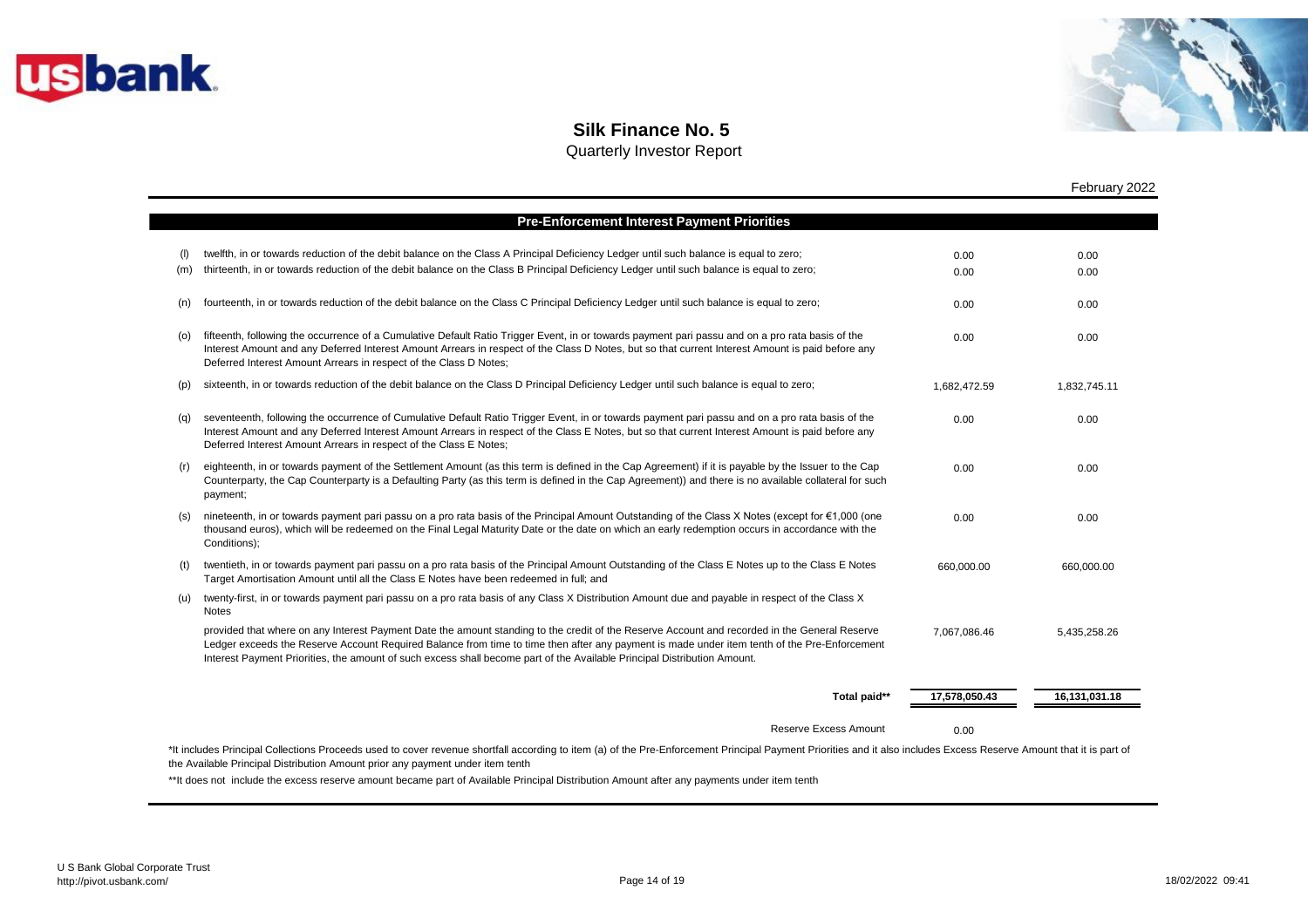



## **Silk Finance No. 5**

Quarterly Investor Report

|            |                                                                                                                                                                                                                                                                                                                                                                                                                           |               | February 2022 |
|------------|---------------------------------------------------------------------------------------------------------------------------------------------------------------------------------------------------------------------------------------------------------------------------------------------------------------------------------------------------------------------------------------------------------------------------|---------------|---------------|
|            | <b>Pre-Enforcement Interest Payment Priorities</b>                                                                                                                                                                                                                                                                                                                                                                        |               |               |
| (1)<br>(m) | twelfth, in or towards reduction of the debit balance on the Class A Principal Deficiency Ledger until such balance is equal to zero;<br>thirteenth, in or towards reduction of the debit balance on the Class B Principal Deficiency Ledger until such balance is equal to zero;                                                                                                                                         | 0.00<br>0.00  | 0.00<br>0.00  |
| (n)        | fourteenth, in or towards reduction of the debit balance on the Class C Principal Deficiency Ledger until such balance is equal to zero;                                                                                                                                                                                                                                                                                  | 0.00          | 0.00          |
| (o)        | fifteenth, following the occurrence of a Cumulative Default Ratio Trigger Event, in or towards payment pari passu and on a pro rata basis of the<br>Interest Amount and any Deferred Interest Amount Arrears in respect of the Class D Notes, but so that current Interest Amount is paid before any<br>Deferred Interest Amount Arrears in respect of the Class D Notes;                                                 | 0.00          | 0.00          |
| (p)        | sixteenth, in or towards reduction of the debit balance on the Class D Principal Deficiency Ledger until such balance is equal to zero;                                                                                                                                                                                                                                                                                   | 1,682,472.59  | 1,832,745.11  |
| (q)        | seventeenth, following the occurrence of Cumulative Default Ratio Trigger Event, in or towards payment pari passu and on a pro rata basis of the<br>Interest Amount and any Deferred Interest Amount Arrears in respect of the Class E Notes, but so that current Interest Amount is paid before any<br>Deferred Interest Amount Arrears in respect of the Class E Notes;                                                 | 0.00          | 0.00          |
| (r)        | eighteenth, in or towards payment of the Settlement Amount (as this term is defined in the Cap Agreement) if it is payable by the Issuer to the Cap<br>Counterparty, the Cap Counterparty is a Defaulting Party (as this term is defined in the Cap Agreement)) and there is no available collateral for such<br>payment;                                                                                                 | 0.00          | 0.00          |
| (S)        | nineteenth, in or towards payment pari passu on a pro rata basis of the Principal Amount Outstanding of the Class X Notes (except for €1,000 (one<br>thousand euros), which will be redeemed on the Final Legal Maturity Date or the date on which an early redemption occurs in accordance with the<br>Conditions);                                                                                                      | 0.00          | 0.00          |
| (t)        | twentieth, in or towards payment pari passu on a pro rata basis of the Principal Amount Outstanding of the Class E Notes up to the Class E Notes<br>Target Amortisation Amount until all the Class E Notes have been redeemed in full; and                                                                                                                                                                                | 660,000.00    | 660,000.00    |
| (u)        | twenty-first, in or towards payment pari passu on a pro rata basis of any Class X Distribution Amount due and payable in respect of the Class X<br><b>Notes</b>                                                                                                                                                                                                                                                           |               |               |
|            | provided that where on any Interest Payment Date the amount standing to the credit of the Reserve Account and recorded in the General Reserve<br>Ledger exceeds the Reserve Account Required Balance from time to time then after any payment is made under item tenth of the Pre-Enforcement<br>Interest Payment Priorities, the amount of such excess shall become part of the Available Principal Distribution Amount. | 7,067,086.46  | 5,435,258.26  |
|            | Total paid**                                                                                                                                                                                                                                                                                                                                                                                                              | 17,578,050.43 | 16,131,031.18 |
|            | <b>Reserve Excess Amount</b>                                                                                                                                                                                                                                                                                                                                                                                              | 0.00          |               |

the Available Principal Distribution Amount prior any payment under item tenth

\*\*It does not include the excess reserve amount became part of Available Principal Distribution Amount after any payments under item tenth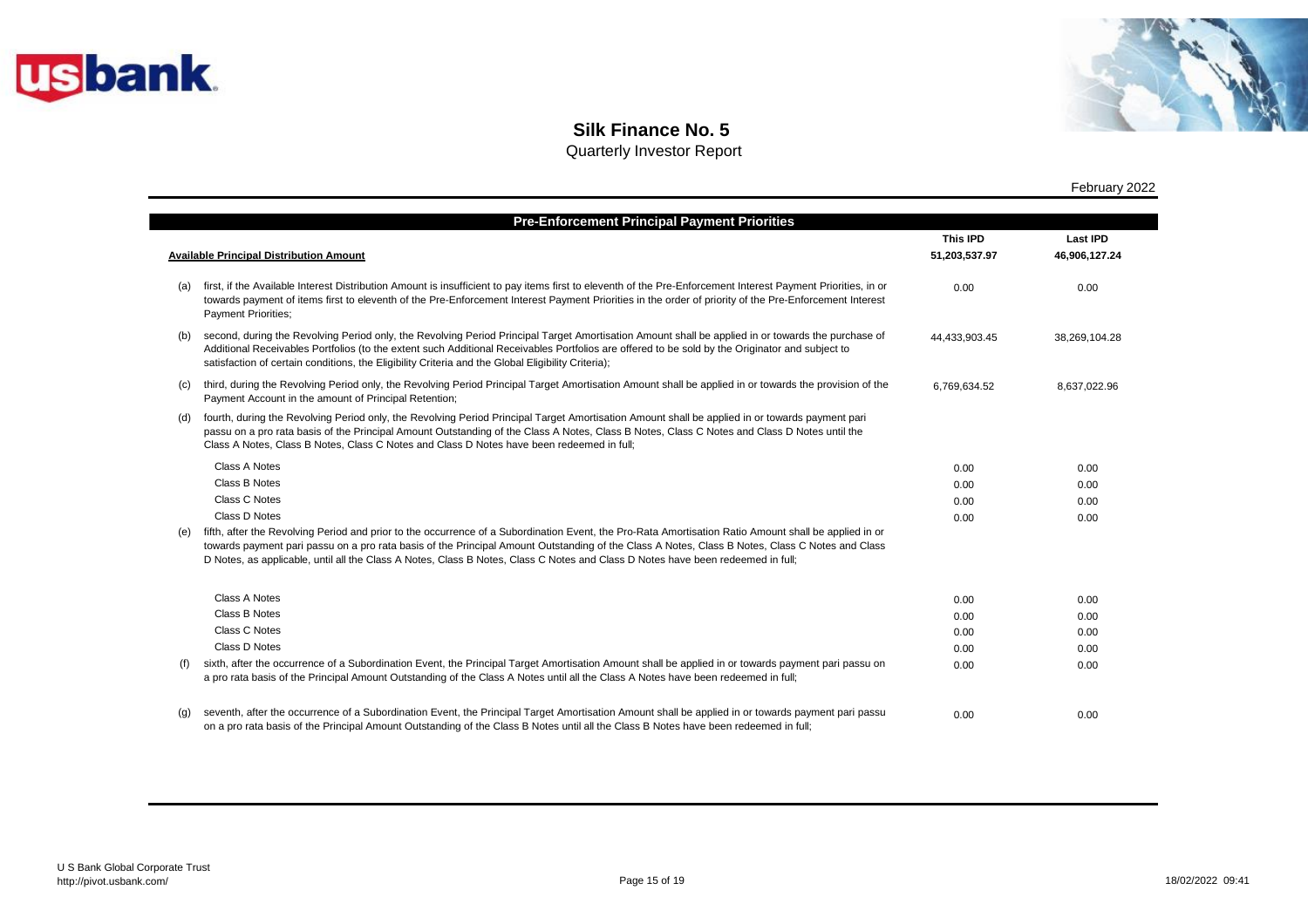



|     |                                                                                                                                                                                                                                                                                                                                                                                                                                             | This IPD      | <b>Last IPD</b> |
|-----|---------------------------------------------------------------------------------------------------------------------------------------------------------------------------------------------------------------------------------------------------------------------------------------------------------------------------------------------------------------------------------------------------------------------------------------------|---------------|-----------------|
|     | <b>Available Principal Distribution Amount</b>                                                                                                                                                                                                                                                                                                                                                                                              | 51,203,537.97 | 46,906,127.24   |
| (a) | first, if the Available Interest Distribution Amount is insufficient to pay items first to eleventh of the Pre-Enforcement Interest Payment Priorities, in or<br>towards payment of items first to eleventh of the Pre-Enforcement Interest Payment Priorities in the order of priority of the Pre-Enforcement Interest<br><b>Payment Priorities;</b>                                                                                       | 0.00          | 0.00            |
| (b) | second, during the Revolving Period only, the Revolving Period Principal Target Amortisation Amount shall be applied in or towards the purchase of<br>Additional Receivables Portfolios (to the extent such Additional Receivables Portfolios are offered to be sold by the Originator and subject to<br>satisfaction of certain conditions, the Eligibility Criteria and the Global Eligibility Criteria);                                 | 44,433,903.45 | 38,269,104.28   |
| (C) | third, during the Revolving Period only, the Revolving Period Principal Target Amortisation Amount shall be applied in or towards the provision of the<br>Payment Account in the amount of Principal Retention;                                                                                                                                                                                                                             | 6,769,634.52  | 8,637,022.96    |
| (d) | fourth, during the Revolving Period only, the Revolving Period Principal Target Amortisation Amount shall be applied in or towards payment pari<br>passu on a pro rata basis of the Principal Amount Outstanding of the Class A Notes, Class B Notes, Class C Notes and Class D Notes until the<br>Class A Notes, Class B Notes, Class C Notes and Class D Notes have been redeemed in full;                                                |               |                 |
|     | <b>Class A Notes</b>                                                                                                                                                                                                                                                                                                                                                                                                                        | 0.00          | 0.00            |
|     | Class B Notes                                                                                                                                                                                                                                                                                                                                                                                                                               | 0.00          | 0.00            |
|     | Class C Notes                                                                                                                                                                                                                                                                                                                                                                                                                               | 0.00          | 0.00            |
|     | Class D Notes                                                                                                                                                                                                                                                                                                                                                                                                                               | 0.00          | 0.00            |
|     | fifth, after the Revolving Period and prior to the occurrence of a Subordination Event, the Pro-Rata Amortisation Ratio Amount shall be applied in or<br>towards payment pari passu on a pro rata basis of the Principal Amount Outstanding of the Class A Notes, Class B Notes, Class C Notes and Class<br>D Notes, as applicable, until all the Class A Notes, Class B Notes, Class C Notes and Class D Notes have been redeemed in full; |               |                 |
|     | <b>Class A Notes</b>                                                                                                                                                                                                                                                                                                                                                                                                                        | 0.00          | 0.00            |
|     | <b>Class B Notes</b>                                                                                                                                                                                                                                                                                                                                                                                                                        | 0.00          | 0.00            |
|     | Class C Notes                                                                                                                                                                                                                                                                                                                                                                                                                               | 0.00          | 0.00            |
|     | Class D Notes                                                                                                                                                                                                                                                                                                                                                                                                                               | 0.00          | 0.00            |
| (f) | sixth, after the occurrence of a Subordination Event, the Principal Target Amortisation Amount shall be applied in or towards payment pari passu on<br>a pro rata basis of the Principal Amount Outstanding of the Class A Notes until all the Class A Notes have been redeemed in full;                                                                                                                                                    | 0.00          | 0.00            |
| (q) | seventh, after the occurrence of a Subordination Event, the Principal Target Amortisation Amount shall be applied in or towards payment pari passu<br>on a pro rata basis of the Principal Amount Outstanding of the Class B Notes until all the Class B Notes have been redeemed in full;                                                                                                                                                  | 0.00          | 0.00            |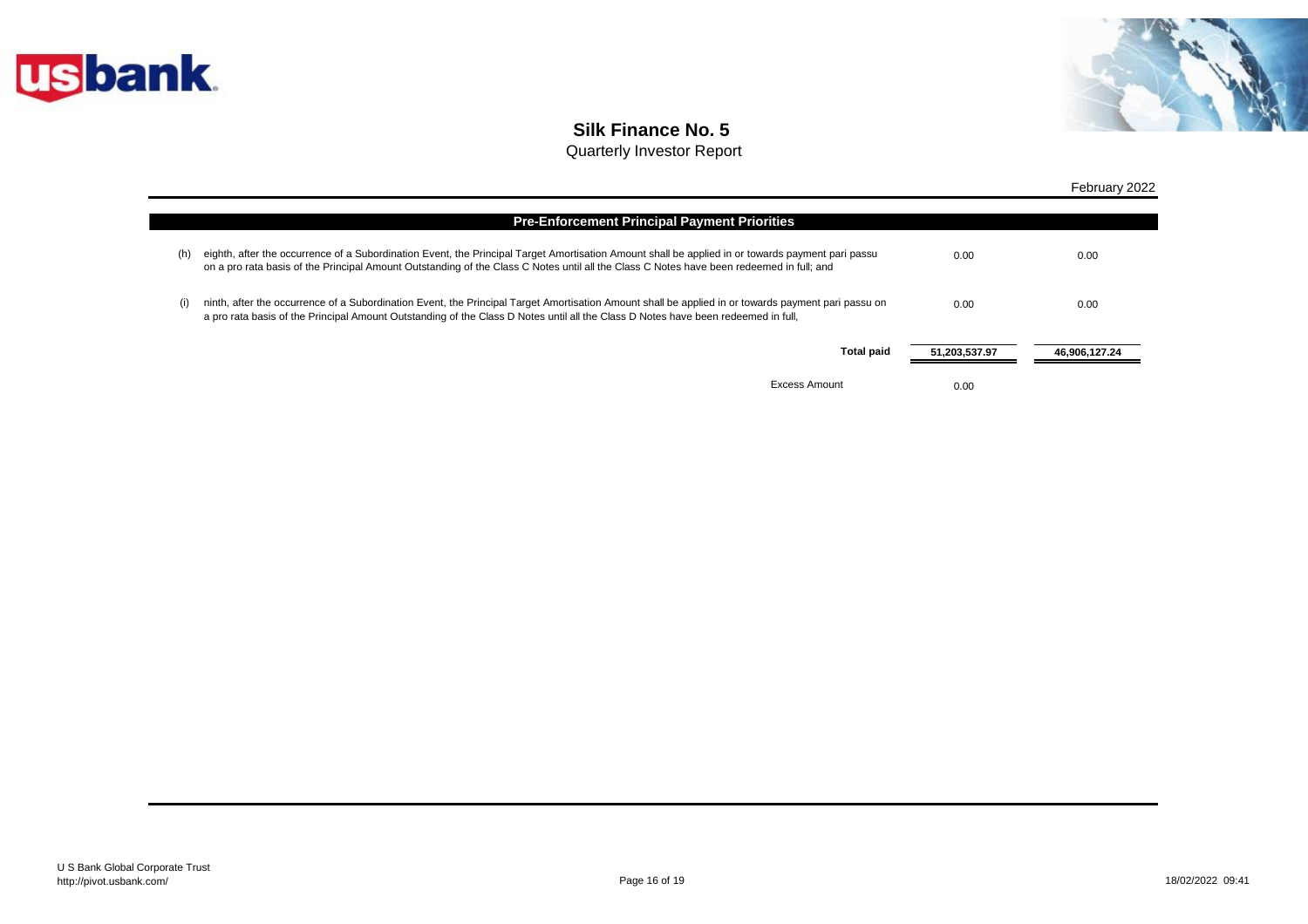



|     |                                                                                                                                                                                                                                                                                               |               | February 2022 |
|-----|-----------------------------------------------------------------------------------------------------------------------------------------------------------------------------------------------------------------------------------------------------------------------------------------------|---------------|---------------|
|     | <b>Pre-Enforcement Principal Payment Priorities</b>                                                                                                                                                                                                                                           |               |               |
| (h) | eighth, after the occurrence of a Subordination Event, the Principal Target Amortisation Amount shall be applied in or towards payment pari passu<br>on a pro rata basis of the Principal Amount Outstanding of the Class C Notes until all the Class C Notes have been redeemed in full; and | 0.00          | 0.00          |
| (i) | ninth, after the occurrence of a Subordination Event, the Principal Target Amortisation Amount shall be applied in or towards payment pari passu on<br>a pro rata basis of the Principal Amount Outstanding of the Class D Notes until all the Class D Notes have been redeemed in full,      | 0.00          | 0.00          |
|     | <b>Total paid</b>                                                                                                                                                                                                                                                                             | 51,203,537.97 | 46,906,127.24 |
|     | Excess Amount                                                                                                                                                                                                                                                                                 | 0.00          |               |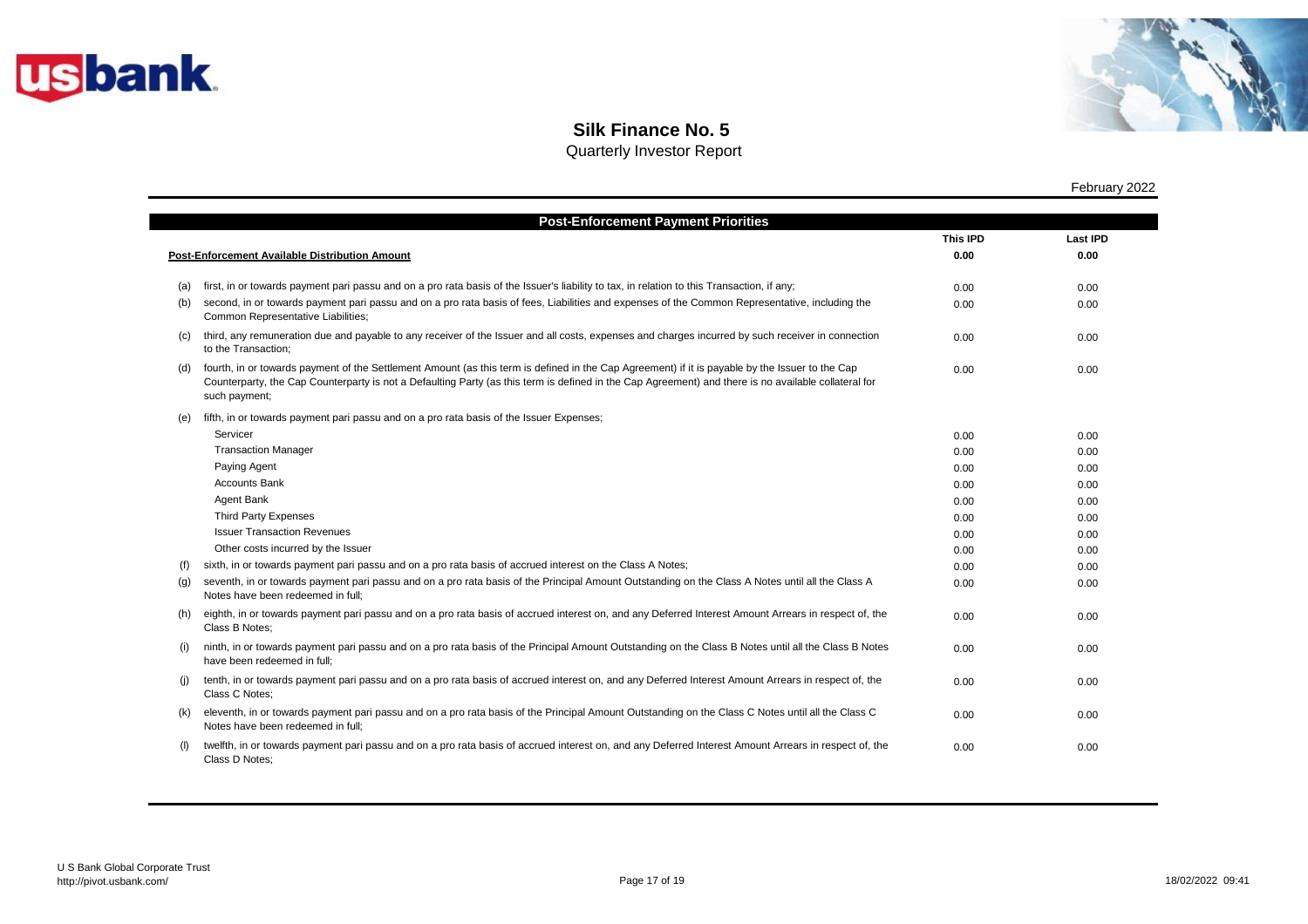



Quarterly Investor Report

|     |                                                                                                                                                                                                                                                                                                                          | <b>This IPD</b> | <b>Last IPD</b> |
|-----|--------------------------------------------------------------------------------------------------------------------------------------------------------------------------------------------------------------------------------------------------------------------------------------------------------------------------|-----------------|-----------------|
|     | <b>Post-Enforcement Available Distribution Amount</b>                                                                                                                                                                                                                                                                    | 0.00            | 0.00            |
| (a) | first, in or towards payment pari passu and on a pro rata basis of the Issuer's liability to tax, in relation to this Transaction, if any;                                                                                                                                                                               | 0.00            | 0.00            |
| (b) | second, in or towards payment pari passu and on a pro rata basis of fees, Liabilities and expenses of the Common Representative, including the<br>Common Representative Liabilities;                                                                                                                                     | 0.00            | 0.00            |
| (c) | third, any remuneration due and payable to any receiver of the Issuer and all costs, expenses and charges incurred by such receiver in connection<br>to the Transaction:                                                                                                                                                 | 0.00            | 0.00            |
| (d) | fourth, in or towards payment of the Settlement Amount (as this term is defined in the Cap Agreement) if it is payable by the Issuer to the Cap<br>Counterparty, the Cap Counterparty is not a Defaulting Party (as this term is defined in the Cap Agreement) and there is no available collateral for<br>such payment; | 0.00            | 0.00            |
| (e) | fifth, in or towards payment pari passu and on a pro rata basis of the Issuer Expenses;                                                                                                                                                                                                                                  |                 |                 |
|     | Servicer                                                                                                                                                                                                                                                                                                                 | 0.00            | 0.00            |
|     | <b>Transaction Manager</b>                                                                                                                                                                                                                                                                                               | 0.00            | 0.00            |
|     | Paying Agent                                                                                                                                                                                                                                                                                                             | 0.00            | 0.00            |
|     | <b>Accounts Bank</b>                                                                                                                                                                                                                                                                                                     | 0.00            | 0.00            |
|     | Agent Bank                                                                                                                                                                                                                                                                                                               | 0.00            | 0.00            |
|     | <b>Third Party Expenses</b>                                                                                                                                                                                                                                                                                              | 0.00            | 0.00            |
|     | <b>Issuer Transaction Revenues</b>                                                                                                                                                                                                                                                                                       | 0.00            | 0.00            |
|     | Other costs incurred by the Issuer                                                                                                                                                                                                                                                                                       | 0.00            | 0.00            |
| (f) | sixth, in or towards payment pari passu and on a pro rata basis of accrued interest on the Class A Notes;                                                                                                                                                                                                                | 0.00            | 0.00            |
| (g) | seventh, in or towards payment pari passu and on a pro rata basis of the Principal Amount Outstanding on the Class A Notes until all the Class A<br>Notes have been redeemed in full;                                                                                                                                    | 0.00            | 0.00            |
| (h) | eighth, in or towards payment pari passu and on a pro rata basis of accrued interest on, and any Deferred Interest Amount Arrears in respect of, the<br>Class B Notes:                                                                                                                                                   | 0.00            | 0.00            |
| (i) | ninth, in or towards payment pari passu and on a pro rata basis of the Principal Amount Outstanding on the Class B Notes until all the Class B Notes<br>have been redeemed in full;                                                                                                                                      | 0.00            | 0.00            |
| (i) | tenth, in or towards payment pari passu and on a pro rata basis of accrued interest on, and any Deferred Interest Amount Arrears in respect of, the<br>Class C Notes:                                                                                                                                                    | 0.00            | 0.00            |
| (k) | eleventh, in or towards payment pari passu and on a pro rata basis of the Principal Amount Outstanding on the Class C Notes until all the Class C<br>Notes have been redeemed in full;                                                                                                                                   | 0.00            | 0.00            |
|     | twelfth, in or towards payment pari passu and on a pro rata basis of accrued interest on, and any Deferred Interest Amount Arrears in respect of, the<br>Class D Notes:                                                                                                                                                  | 0.00            | 0.00            |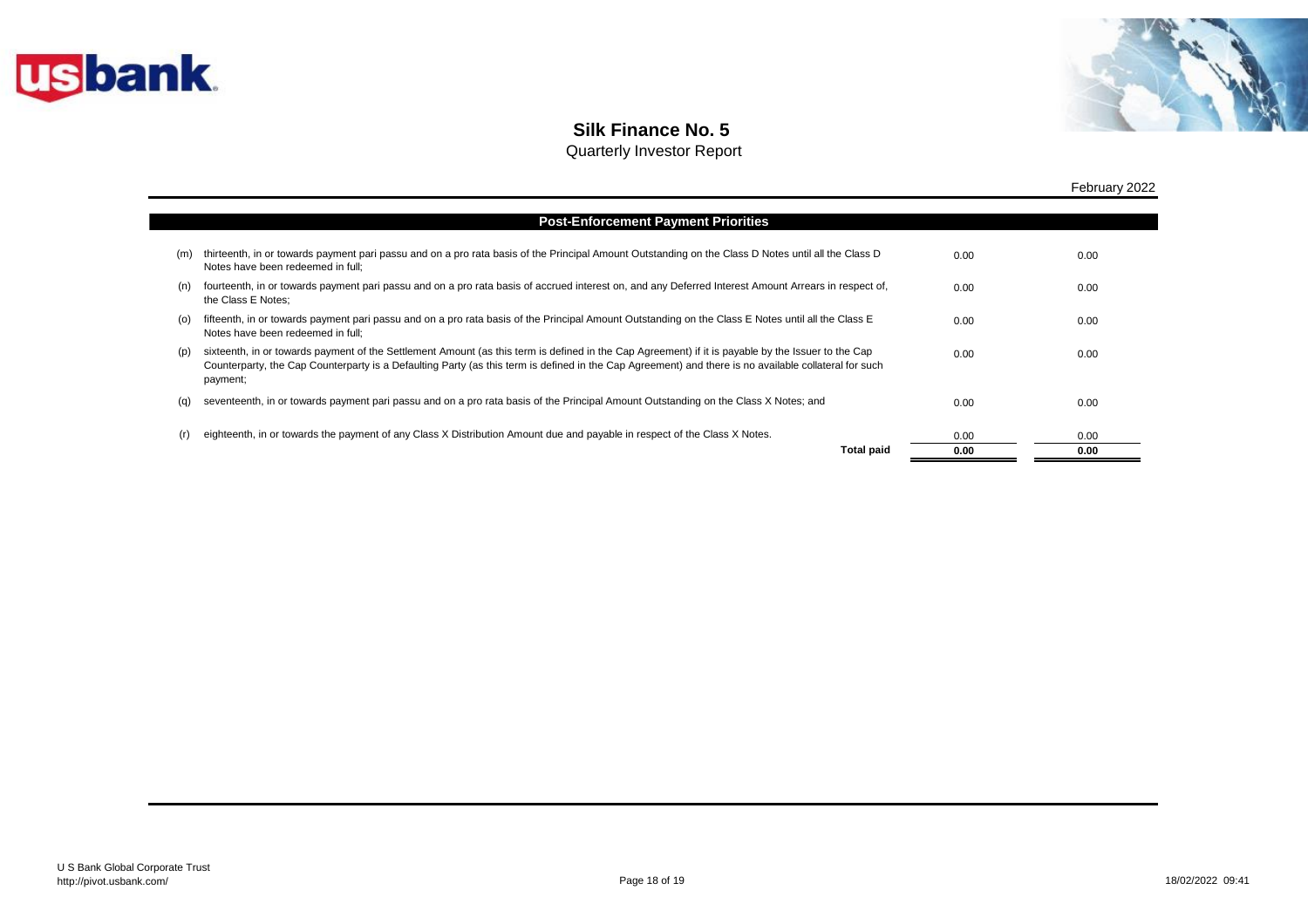



|     |                                                                                                                                                                                                                                                                                                                         |      | February 2022 |
|-----|-------------------------------------------------------------------------------------------------------------------------------------------------------------------------------------------------------------------------------------------------------------------------------------------------------------------------|------|---------------|
|     | <b>Post-Enforcement Payment Priorities</b>                                                                                                                                                                                                                                                                              |      |               |
| (m) | thirteenth, in or towards payment pari passu and on a pro rata basis of the Principal Amount Outstanding on the Class D Notes until all the Class D<br>Notes have been redeemed in full;                                                                                                                                | 0.00 | 0.00          |
| (n) | fourteenth, in or towards payment pari passu and on a pro rata basis of accrued interest on, and any Deferred Interest Amount Arrears in respect of,<br>the Class E Notes;                                                                                                                                              | 0.00 | 0.00          |
| (O) | fifteenth, in or towards payment pari passu and on a pro rata basis of the Principal Amount Outstanding on the Class E Notes until all the Class E<br>Notes have been redeemed in full;                                                                                                                                 | 0.00 | 0.00          |
| (p) | sixteenth, in or towards payment of the Settlement Amount (as this term is defined in the Cap Agreement) if it is payable by the Issuer to the Cap<br>Counterparty, the Cap Counterparty is a Defaulting Party (as this term is defined in the Cap Agreement) and there is no available collateral for such<br>payment; | 0.00 | 0.00          |
| (q) | seventeenth, in or towards payment pari passu and on a pro rata basis of the Principal Amount Outstanding on the Class X Notes; and                                                                                                                                                                                     | 0.00 | 0.00          |
| (r) | eighteenth, in or towards the payment of any Class X Distribution Amount due and payable in respect of the Class X Notes.                                                                                                                                                                                               | 0.00 | 0.00          |
|     | <b>Total paid</b>                                                                                                                                                                                                                                                                                                       | 0.00 | 0.00          |